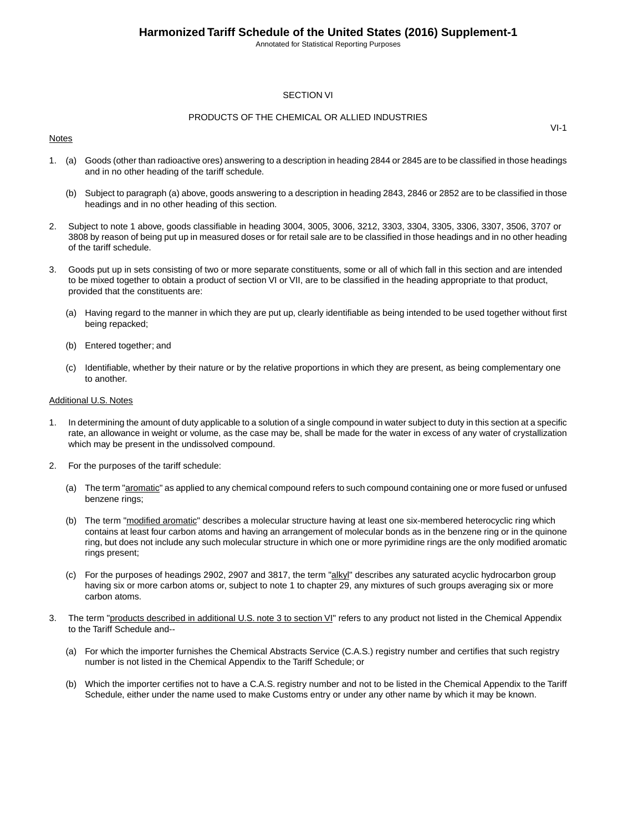Annotated for Statistical Reporting Purposes

#### SECTION VI

#### PRODUCTS OF THE CHEMICAL OR ALLIED INDUSTRIES

#### Notes

1. (a) Goods (other than radioactive ores) answering to a description in heading 2844 or 2845 are to be classified in those headings and in no other heading of the tariff schedule.

- (b) Subject to paragraph (a) above, goods answering to a description in heading 2843, 2846 or 2852 are to be classified in those headings and in no other heading of this section.
- 2. Subject to note 1 above, goods classifiable in heading 3004, 3005, 3006, 3212, 3303, 3304, 3305, 3306, 3307, 3506, 3707 or 3808 by reason of being put up in measured doses or for retail sale are to be classified in those headings and in no other heading of the tariff schedule.
- 3. Goods put up in sets consisting of two or more separate constituents, some or all of which fall in this section and are intended to be mixed together to obtain a product of section VI or VII, are to be classified in the heading appropriate to that product, provided that the constituents are:
	- (a) Having regard to the manner in which they are put up, clearly identifiable as being intended to be used together without first being repacked;
	- (b) Entered together; and
	- (c) Identifiable, whether by their nature or by the relative proportions in which they are present, as being complementary one to another.

#### Additional U.S. Notes

- 1. In determining the amount of duty applicable to a solution of a single compound in water subject to duty in this section at a specific rate, an allowance in weight or volume, as the case may be, shall be made for the water in excess of any water of crystallization which may be present in the undissolved compound.
- 2. For the purposes of the tariff schedule:
	- (a) The term "aromatic" as applied to any chemical compound refers to such compound containing one or more fused or unfused benzene rings;
	- (b) The term "modified aromatic" describes a molecular structure having at least one six-membered heterocyclic ring which contains at least four carbon atoms and having an arrangement of molecular bonds as in the benzene ring or in the quinone ring, but does not include any such molecular structure in which one or more pyrimidine rings are the only modified aromatic rings present;
	- (c) For the purposes of headings 2902, 2907 and 3817, the term "alkyl" describes any saturated acyclic hydrocarbon group having six or more carbon atoms or, subject to note 1 to chapter 29, any mixtures of such groups averaging six or more carbon atoms.
- 3. The term "products described in additional U.S. note 3 to section VI" refers to any product not listed in the Chemical Appendix to the Tariff Schedule and--
	- (a) For which the importer furnishes the Chemical Abstracts Service (C.A.S.) registry number and certifies that such registry number is not listed in the Chemical Appendix to the Tariff Schedule; or
	- (b) Which the importer certifies not to have a C.A.S. registry number and not to be listed in the Chemical Appendix to the Tariff Schedule, either under the name used to make Customs entry or under any other name by which it may be known.

VI-1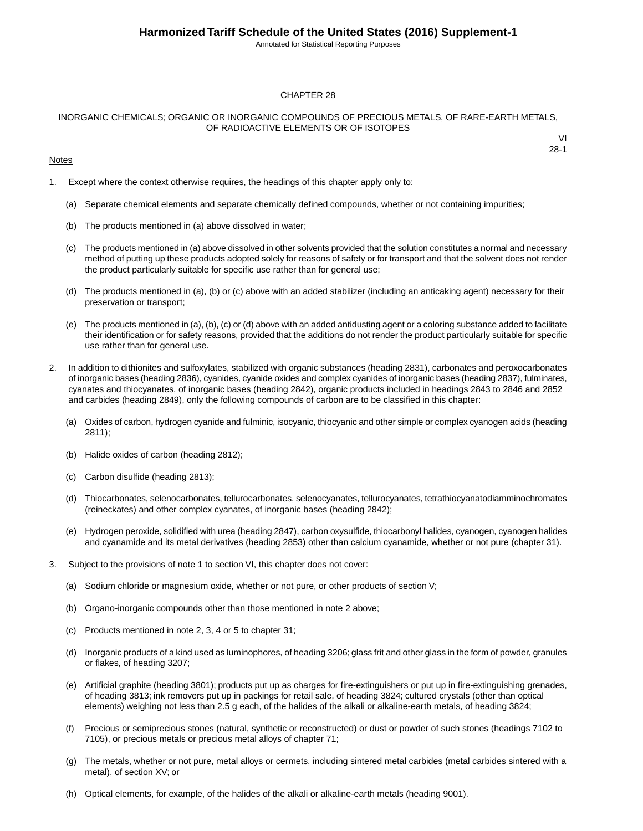Annotated for Statistical Reporting Purposes

#### CHAPTER 28

#### INORGANIC CHEMICALS; ORGANIC OR INORGANIC COMPOUNDS OF PRECIOUS METALS, OF RARE-EARTH METALS, OF RADIOACTIVE ELEMENTS OR OF ISOTOPES

#### **Notes**

1. Except where the context otherwise requires, the headings of this chapter apply only to:

- (a) Separate chemical elements and separate chemically defined compounds, whether or not containing impurities;
- (b) The products mentioned in (a) above dissolved in water;
- (c) The products mentioned in (a) above dissolved in other solvents provided that the solution constitutes a normal and necessary method of putting up these products adopted solely for reasons of safety or for transport and that the solvent does not render the product particularly suitable for specific use rather than for general use;
- (d) The products mentioned in (a), (b) or (c) above with an added stabilizer (including an anticaking agent) necessary for their preservation or transport;
- (e) The products mentioned in (a), (b), (c) or (d) above with an added antidusting agent or a coloring substance added to facilitate their identification or for safety reasons, provided that the additions do not render the product particularly suitable for specific use rather than for general use.
- 2. In addition to dithionites and sulfoxylates, stabilized with organic substances (heading 2831), carbonates and peroxocarbonates of inorganic bases (heading 2836), cyanides, cyanide oxides and complex cyanides of inorganic bases (heading 2837), fulminates, cyanates and thiocyanates, of inorganic bases (heading 2842), organic products included in headings 2843 to 2846 and 2852 and carbides (heading 2849), only the following compounds of carbon are to be classified in this chapter:
	- (a) Oxides of carbon, hydrogen cyanide and fulminic, isocyanic, thiocyanic and other simple or complex cyanogen acids (heading 2811);
	- (b) Halide oxides of carbon (heading 2812);
	- (c) Carbon disulfide (heading 2813);
	- (d) Thiocarbonates, selenocarbonates, tellurocarbonates, selenocyanates, tellurocyanates, tetrathiocyanatodiamminochromates (reineckates) and other complex cyanates, of inorganic bases (heading 2842);
	- (e) Hydrogen peroxide, solidified with urea (heading 2847), carbon oxysulfide, thiocarbonyl halides, cyanogen, cyanogen halides and cyanamide and its metal derivatives (heading 2853) other than calcium cyanamide, whether or not pure (chapter 31).
- 3. Subject to the provisions of note 1 to section VI, this chapter does not cover:
	- (a) Sodium chloride or magnesium oxide, whether or not pure, or other products of section V;
	- (b) Organo-inorganic compounds other than those mentioned in note 2 above;
	- (c) Products mentioned in note 2, 3, 4 or 5 to chapter 31;
	- (d) Inorganic products of a kind used as luminophores, of heading 3206; glass frit and other glass in the form of powder, granules or flakes, of heading 3207;
	- (e) Artificial graphite (heading 3801); products put up as charges for fire-extinguishers or put up in fire-extinguishing grenades, of heading 3813; ink removers put up in packings for retail sale, of heading 3824; cultured crystals (other than optical elements) weighing not less than 2.5 g each, of the halides of the alkali or alkaline-earth metals, of heading 3824;
	- (f) Precious or semiprecious stones (natural, synthetic or reconstructed) or dust or powder of such stones (headings 7102 to 7105), or precious metals or precious metal alloys of chapter 71;
	- (g) The metals, whether or not pure, metal alloys or cermets, including sintered metal carbides (metal carbides sintered with a metal), of section XV; or
	- (h) Optical elements, for example, of the halides of the alkali or alkaline-earth metals (heading 9001).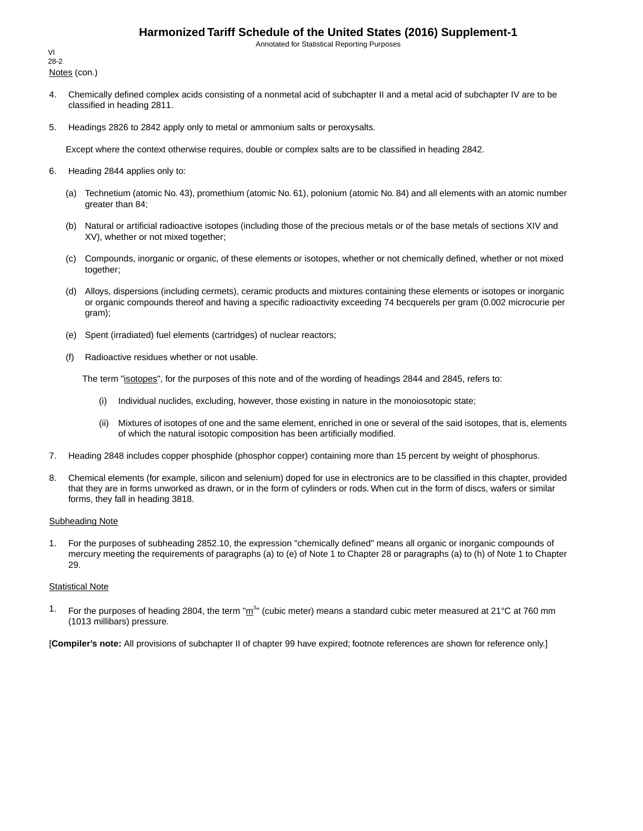Annotated for Statistical Reporting Purposes

Notes (con.) VI 28-2

- 4. Chemically defined complex acids consisting of a nonmetal acid of subchapter II and a metal acid of subchapter IV are to be classified in heading 2811.
- 5. Headings 2826 to 2842 apply only to metal or ammonium salts or peroxysalts.

Except where the context otherwise requires, double or complex salts are to be classified in heading 2842.

- 6. Heading 2844 applies only to:
	- (a) Technetium (atomic No. 43), promethium (atomic No. 61), polonium (atomic No. 84) and all elements with an atomic number greater than 84;
	- (b) Natural or artificial radioactive isotopes (including those of the precious metals or of the base metals of sections XIV and XV), whether or not mixed together;
	- (c) Compounds, inorganic or organic, of these elements or isotopes, whether or not chemically defined, whether or not mixed together;
	- (d) Alloys, dispersions (including cermets), ceramic products and mixtures containing these elements or isotopes or inorganic or organic compounds thereof and having a specific radioactivity exceeding 74 becquerels per gram (0.002 microcurie per gram);
	- (e) Spent (irradiated) fuel elements (cartridges) of nuclear reactors;
	- (f) Radioactive residues whether or not usable.

The term "isotopes", for the purposes of this note and of the wording of headings 2844 and 2845, refers to:

- (i) Individual nuclides, excluding, however, those existing in nature in the monoiosotopic state;
- (ii) Mixtures of isotopes of one and the same element, enriched in one or several of the said isotopes, that is, elements of which the natural isotopic composition has been artificially modified.
- 7. Heading 2848 includes copper phosphide (phosphor copper) containing more than 15 percent by weight of phosphorus.
- 8. Chemical elements (for example, silicon and selenium) doped for use in electronics are to be classified in this chapter, provided that they are in forms unworked as drawn, or in the form of cylinders or rods. When cut in the form of discs, wafers or similar forms, they fall in heading 3818.

#### Subheading Note

1. For the purposes of subheading 2852.10, the expression "chemically defined" means all organic or inorganic compounds of mercury meeting the requirements of paragraphs (a) to (e) of Note 1 to Chapter 28 or paragraphs (a) to (h) of Note 1 to Chapter 29.

#### **Statistical Note**

<sup>1.</sup> For the purposes of heading 2804, the term " $m^{3n}$  (cubic meter) means a standard cubic meter measured at 21°C at 760 mm (1013 millibars) pressure.

[**Compiler's note:** All provisions of subchapter II of chapter 99 have expired; footnote references are shown for reference only.]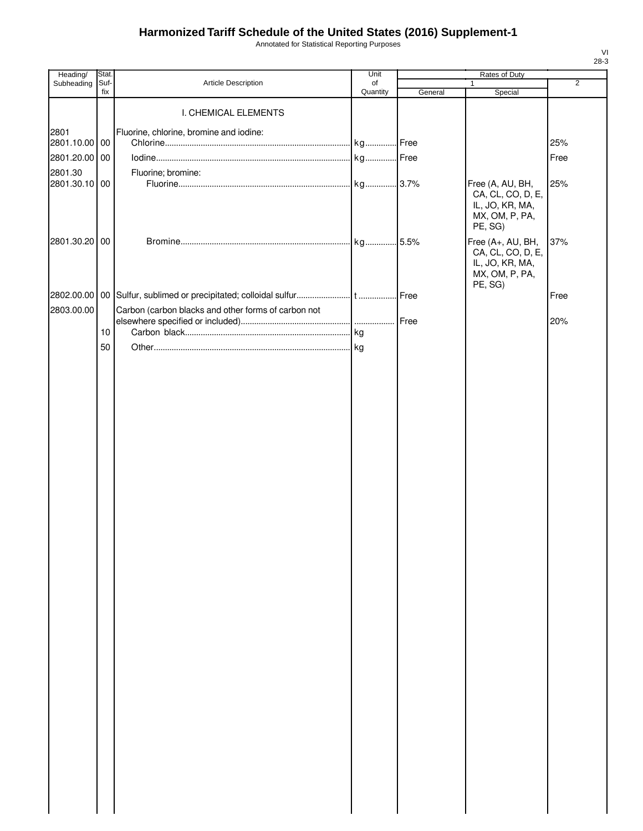Annotated for Statistical Reporting Purposes

| Heading/      | Stat.       |                                                     | Unit     |         | Rates of Duty                                             |                |
|---------------|-------------|-----------------------------------------------------|----------|---------|-----------------------------------------------------------|----------------|
| Subheading    | Suf-<br>fix | Article Description                                 | of       |         |                                                           | $\overline{2}$ |
|               |             | I. CHEMICAL ELEMENTS                                | Quantity | General | Special                                                   |                |
|               |             |                                                     |          |         |                                                           |                |
| 2801          |             | Fluorine, chlorine, bromine and iodine:             |          |         |                                                           |                |
| 2801.10.00 00 |             |                                                     |          |         |                                                           | 25%            |
| 2801.20.00 00 |             |                                                     |          |         |                                                           | Free           |
| 2801.30       |             | Fluorine; bromine:                                  |          |         |                                                           |                |
| 2801.30.10 00 |             |                                                     |          |         | Free (A, AU, BH,<br>CA, CL, CO, D, E,                     | 25%            |
|               |             |                                                     |          |         | IL, JO, KR, MA,<br>MX, OM, P, PA,<br>PE, SG)              |                |
| 2801.30.20 00 |             |                                                     |          | .5.5%   | Free (A+, AU, BH,<br>CA, CL, CO, D, E,<br>IL, JO, KR, MA, | 37%            |
|               |             |                                                     |          |         | MX, OM, P, PA,<br>PE, SG)                                 |                |
|               |             |                                                     |          | Free    |                                                           | Free           |
| 2803.00.00    |             | Carbon (carbon blacks and other forms of carbon not |          |         |                                                           |                |
|               | 10          |                                                     |          |         |                                                           | 20%            |
|               |             |                                                     |          |         |                                                           |                |
|               | 50          |                                                     |          |         |                                                           |                |
|               |             |                                                     |          |         |                                                           |                |
|               |             |                                                     |          |         |                                                           |                |
|               |             |                                                     |          |         |                                                           |                |
|               |             |                                                     |          |         |                                                           |                |
|               |             |                                                     |          |         |                                                           |                |
|               |             |                                                     |          |         |                                                           |                |
|               |             |                                                     |          |         |                                                           |                |
|               |             |                                                     |          |         |                                                           |                |
|               |             |                                                     |          |         |                                                           |                |
|               |             |                                                     |          |         |                                                           |                |
|               |             |                                                     |          |         |                                                           |                |
|               |             |                                                     |          |         |                                                           |                |
|               |             |                                                     |          |         |                                                           |                |
|               |             |                                                     |          |         |                                                           |                |
|               |             |                                                     |          |         |                                                           |                |
|               |             |                                                     |          |         |                                                           |                |
|               |             |                                                     |          |         |                                                           |                |
|               |             |                                                     |          |         |                                                           |                |
|               |             |                                                     |          |         |                                                           |                |
|               |             |                                                     |          |         |                                                           |                |
|               |             |                                                     |          |         |                                                           |                |
|               |             |                                                     |          |         |                                                           |                |
|               |             |                                                     |          |         |                                                           |                |
|               |             |                                                     |          |         |                                                           |                |
|               |             |                                                     |          |         |                                                           |                |
|               |             |                                                     |          |         |                                                           |                |
|               |             |                                                     |          |         |                                                           |                |
|               |             |                                                     |          |         |                                                           |                |
|               |             |                                                     |          |         |                                                           |                |
|               |             |                                                     |          |         |                                                           |                |
|               |             |                                                     |          |         |                                                           |                |
|               |             |                                                     |          |         |                                                           |                |
|               |             |                                                     |          |         |                                                           |                |
|               |             |                                                     |          |         |                                                           |                |
|               |             |                                                     |          |         |                                                           |                |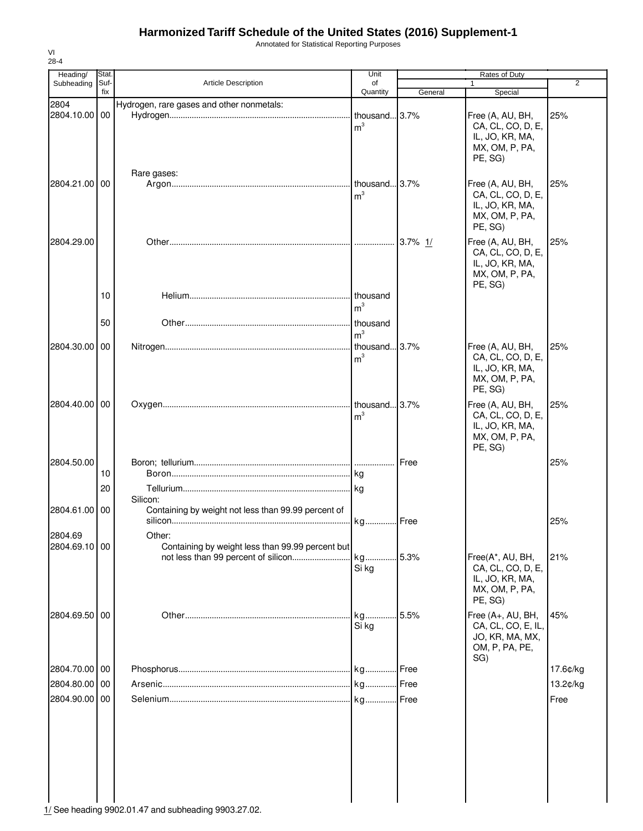Annotated for Statistical Reporting Purposes

| Heading/      | Stat.       |                                                     | Unit           |               | Rates of Duty                         |                |
|---------------|-------------|-----------------------------------------------------|----------------|---------------|---------------------------------------|----------------|
| Subheading    | Suf-<br>fix | <b>Article Description</b>                          | of<br>Quantity | General       | Special                               | $\overline{2}$ |
| 2804          |             | Hydrogen, rare gases and other nonmetals:           |                |               |                                       |                |
| 2804.10.00 00 |             |                                                     | thousand 3.7%  |               | Free (A, AU, BH,                      | 25%            |
|               |             |                                                     | m <sup>3</sup> |               | CA, CL, CO, D, E,                     |                |
|               |             |                                                     |                |               | IL, JO, KR, MA,                       |                |
|               |             |                                                     |                |               | MX, OM, P, PA,                        |                |
|               |             |                                                     |                |               | PE, SG)                               |                |
|               |             | Rare gases:                                         |                |               |                                       |                |
| 2804.21.00 00 |             |                                                     | thousand 3.7%  |               | Free (A, AU, BH,                      | 25%            |
|               |             |                                                     | m <sup>3</sup> |               | CA, CL, CO, D, E,                     |                |
|               |             |                                                     |                |               | IL, JO, KR, MA,<br>MX, OM, P, PA,     |                |
|               |             |                                                     |                |               | PE, SG)                               |                |
|               |             |                                                     |                |               |                                       |                |
| 2804.29.00    |             |                                                     |                | 3.7% $1/$     | Free (A, AU, BH,<br>CA, CL, CO, D, E, | 25%            |
|               |             |                                                     |                |               | IL, JO, KR, MA,                       |                |
|               |             |                                                     |                |               | MX, OM, P, PA,                        |                |
|               |             |                                                     |                |               | PE, SG)                               |                |
|               | 10          |                                                     | thousand       |               |                                       |                |
|               |             |                                                     | m <sup>3</sup> |               |                                       |                |
|               | 50          |                                                     | thousand       |               |                                       |                |
|               |             |                                                     | m <sup>3</sup> |               |                                       |                |
| 2804.30.00 00 |             |                                                     | thousand 3.7%  |               | Free (A, AU, BH,                      | 25%            |
|               |             |                                                     | m <sup>3</sup> |               | CA, CL, CO, D, E,                     |                |
|               |             |                                                     |                |               | IL, JO, KR, MA,                       |                |
|               |             |                                                     |                |               | MX, OM, P, PA,                        |                |
|               |             |                                                     |                |               | PE, SG)                               |                |
| 2804.40.00 00 |             |                                                     | thousand 3.7%  |               | Free (A, AU, BH,                      | 25%            |
|               |             |                                                     | m <sup>3</sup> |               | CA, CL, CO, D, E,                     |                |
|               |             |                                                     |                |               | IL, JO, KR, MA,<br>MX, OM, P, PA,     |                |
|               |             |                                                     |                |               | PE, SG)                               |                |
|               |             |                                                     |                |               |                                       |                |
| 2804.50.00    | 10          |                                                     | kg             | <b>I</b> Free |                                       | 25%            |
|               |             |                                                     |                |               |                                       |                |
|               | 20          | Silicon:                                            |                |               |                                       |                |
| 2804.61.00 00 |             | Containing by weight not less than 99.99 percent of |                |               |                                       |                |
|               |             |                                                     | kg             | Free          |                                       | 25%            |
| 2804.69       |             | Other:                                              |                |               |                                       |                |
| 2804.69.10 00 |             | Containing by weight less than 99.99 percent but    |                |               |                                       |                |
|               |             | not less than 99 percent of silicon                 | kg             | 5.3%          | Free(A*, AU, BH,                      | 21%            |
|               |             |                                                     | Si kg          |               | CA, CL, CO, D, E,                     |                |
|               |             |                                                     |                |               | IL, JO, KR, MA,                       |                |
|               |             |                                                     |                |               | MX, OM, P, PA,                        |                |
|               |             |                                                     |                |               | PE, SG)                               |                |
| 2804.69.50 00 |             |                                                     | kg             | 5.5%          | Free (A+, AU, BH,                     | 45%            |
|               |             |                                                     | Si kg          |               | CA, CL, CO, E, IL,                    |                |
|               |             |                                                     |                |               | JO, KR, MA, MX,<br>OM, P, PA, PE,     |                |
|               |             |                                                     |                |               | SG)                                   |                |
| 2804.70.00 00 |             |                                                     |                | Free          |                                       | 17.6¢/kg       |
| 2804.80.00 00 |             |                                                     | kg Free        |               |                                       | 13.2¢/kg       |
|               |             |                                                     |                |               |                                       |                |
| 2804.90.00 00 |             |                                                     | kg             | Free          |                                       | Free           |
|               |             |                                                     |                |               |                                       |                |
|               |             |                                                     |                |               |                                       |                |
|               |             |                                                     |                |               |                                       |                |
|               |             |                                                     |                |               |                                       |                |
|               |             |                                                     |                |               |                                       |                |
|               |             |                                                     |                |               |                                       |                |
|               |             |                                                     |                |               |                                       |                |
|               |             |                                                     |                |               |                                       |                |

VI 28-4

 $\frac{1}{1/2}$  See heading 9902.01.47 and subheading 9903.27.02.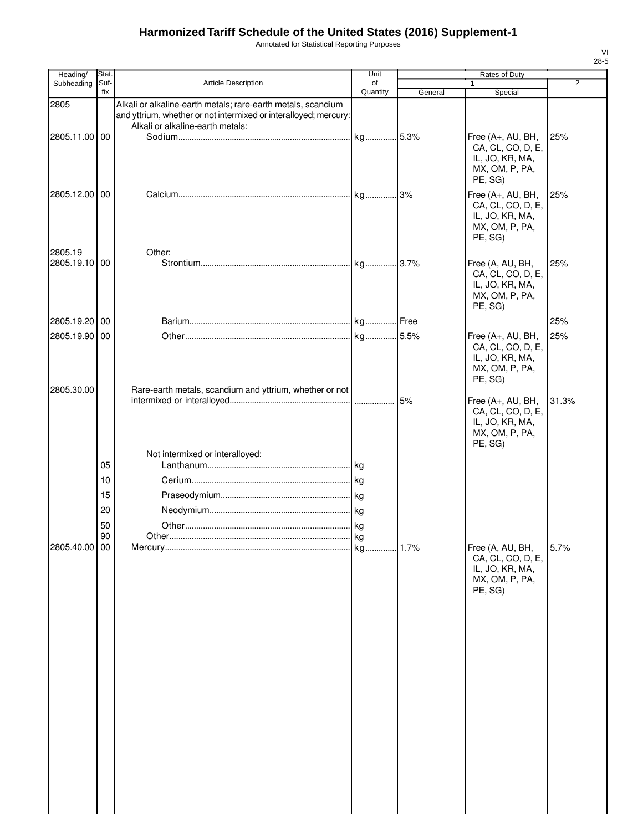Annotated for Statistical Reporting Purposes

|         | Heading/      | Stat.                            |                                                                                                                                                                      | Unit           |         | <b>Rates of Duty</b>                                                                   |                |
|---------|---------------|----------------------------------|----------------------------------------------------------------------------------------------------------------------------------------------------------------------|----------------|---------|----------------------------------------------------------------------------------------|----------------|
|         | Subheading    | Suf-<br>fix                      | Article Description                                                                                                                                                  | οf<br>Quantity | General | 1<br>Special                                                                           | $\overline{2}$ |
| 2805    |               |                                  | Alkali or alkaline-earth metals; rare-earth metals, scandium<br>and yttrium, whether or not intermixed or interalloyed; mercury:<br>Alkali or alkaline-earth metals: |                |         |                                                                                        |                |
|         | 2805.11.00 00 |                                  |                                                                                                                                                                      |                |         | Free (A+, AU, BH,<br>CA, CL, CO, D, E,<br>IL, JO, KR, MA,<br>MX, OM, P, PA,<br>PE, SG) | 25%            |
|         | 2805.12.00 00 |                                  |                                                                                                                                                                      |                |         | Free (A+, AU, BH,<br>CA, CL, CO, D, E,<br>IL, JO, KR, MA,<br>MX, OM, P, PA,<br>PE, SG) | 25%            |
| 2805.19 | 2805.19.10 00 |                                  | Other:                                                                                                                                                               |                |         | Free (A, AU, BH,<br>CA, CL, CO, D, E,<br>IL, JO, KR, MA,<br>MX, OM, P, PA,<br>PE, SG)  | 25%            |
|         | 2805.19.20 00 |                                  |                                                                                                                                                                      |                |         |                                                                                        | 25%            |
|         | 2805.19.90 00 |                                  |                                                                                                                                                                      |                |         | Free (A+, AU, BH,<br>CA, CL, CO, D, E,<br>IL, JO, KR, MA,<br>MX, OM, P, PA,<br>PE, SG) | 25%            |
|         | 2805.30.00    |                                  | Rare-earth metals, scandium and yttrium, whether or not                                                                                                              |                | 5%      | Free (A+, AU, BH,<br>CA, CL, CO, D, E,<br>IL, JO, KR, MA,<br>MX, OM, P, PA,<br>PE, SG) | 31.3%          |
|         |               | 05<br>10<br>15<br>20<br>50<br>90 | Not intermixed or interalloyed:<br>Other.                                                                                                                            | <b>kg</b>      |         |                                                                                        |                |
|         | 2805.40.00 00 |                                  |                                                                                                                                                                      |                |         | Free (A, AU, BH,<br>CA, CL, CO, D, E,<br>IL, JO, KR, MA,<br>MX, OM, P, PA,<br>PE, SG)  | 5.7%           |
|         |               |                                  |                                                                                                                                                                      |                |         |                                                                                        |                |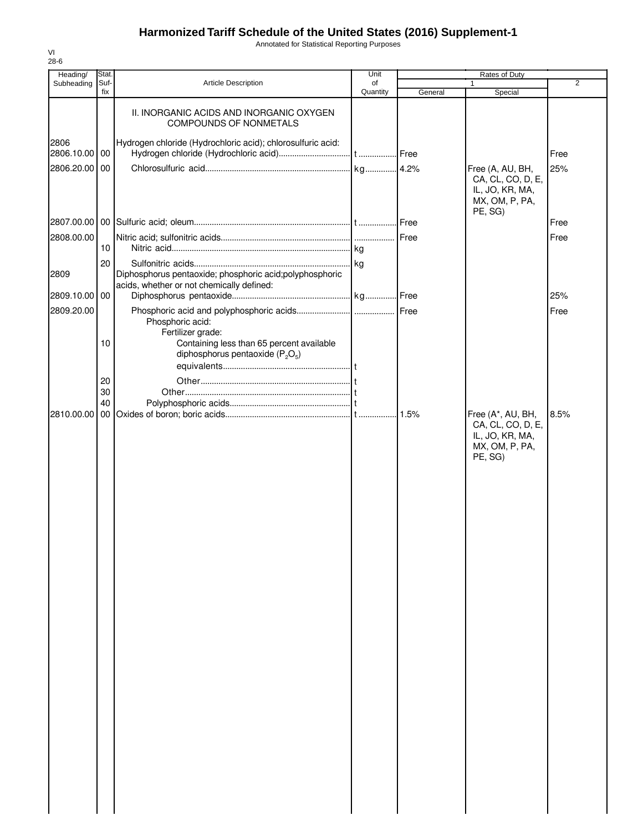Annotated for Statistical Reporting Purposes

| Heading/              | Stat.       |                                                                                                        | Unit           |         | Rates of Duty                                                                          |                |
|-----------------------|-------------|--------------------------------------------------------------------------------------------------------|----------------|---------|----------------------------------------------------------------------------------------|----------------|
| Subheading            | Suf-<br>fix | Article Description                                                                                    | of<br>Quantity | General | 1<br>Special                                                                           | $\overline{2}$ |
|                       |             | II. INORGANIC ACIDS AND INORGANIC OXYGEN<br><b>COMPOUNDS OF NONMETALS</b>                              |                |         |                                                                                        |                |
| 2806<br>2806.10.00 00 |             | Hydrogen chloride (Hydrochloric acid); chlorosulfuric acid:                                            |                |         |                                                                                        | Free           |
| 2806.20.00            | 00          |                                                                                                        |                |         | Free (A, AU, BH,                                                                       | 25%            |
|                       |             |                                                                                                        |                |         | CA, CL, CO, D, E,<br>IL, JO, KR, MA,<br>MX, OM, P, PA,<br>PE, SG)                      |                |
| 2807.00.00            |             |                                                                                                        |                |         |                                                                                        | Free           |
| 2808.00.00            |             |                                                                                                        |                |         |                                                                                        | Free           |
|                       | 10          |                                                                                                        |                |         |                                                                                        |                |
| 2809                  | 20          | Diphosphorus pentaoxide; phosphoric acid; polyphosphoric<br>acids, whether or not chemically defined:  |                |         |                                                                                        |                |
| 2809.10.00            | 00          |                                                                                                        |                |         |                                                                                        | 25%            |
| 2809.20.00            |             |                                                                                                        |                |         |                                                                                        | Free           |
|                       |             | Phosphoric acid:                                                                                       |                |         |                                                                                        |                |
|                       | 10          | Fertilizer grade:<br>Containing less than 65 percent available<br>diphosphorus pentaoxide ( $P_2O_5$ ) |                |         |                                                                                        |                |
|                       |             |                                                                                                        |                |         |                                                                                        |                |
|                       | 20<br>30    |                                                                                                        |                |         |                                                                                        |                |
|                       | 40          |                                                                                                        |                |         |                                                                                        |                |
| 2810.00.00            |             |                                                                                                        |                | .1.5%   | Free (A*, AU, BH,<br>CA, CL, CO, D, E,<br>IL, JO, KR, MA,<br>MX, OM, P, PA,<br>PE, SG) | 8.5%           |
|                       |             |                                                                                                        |                |         |                                                                                        |                |
|                       |             |                                                                                                        |                |         |                                                                                        |                |
|                       |             |                                                                                                        |                |         |                                                                                        |                |
|                       |             |                                                                                                        |                |         |                                                                                        |                |
|                       |             |                                                                                                        |                |         |                                                                                        |                |
|                       |             |                                                                                                        |                |         |                                                                                        |                |
|                       |             |                                                                                                        |                |         |                                                                                        |                |
|                       |             |                                                                                                        |                |         |                                                                                        |                |
|                       |             |                                                                                                        |                |         |                                                                                        |                |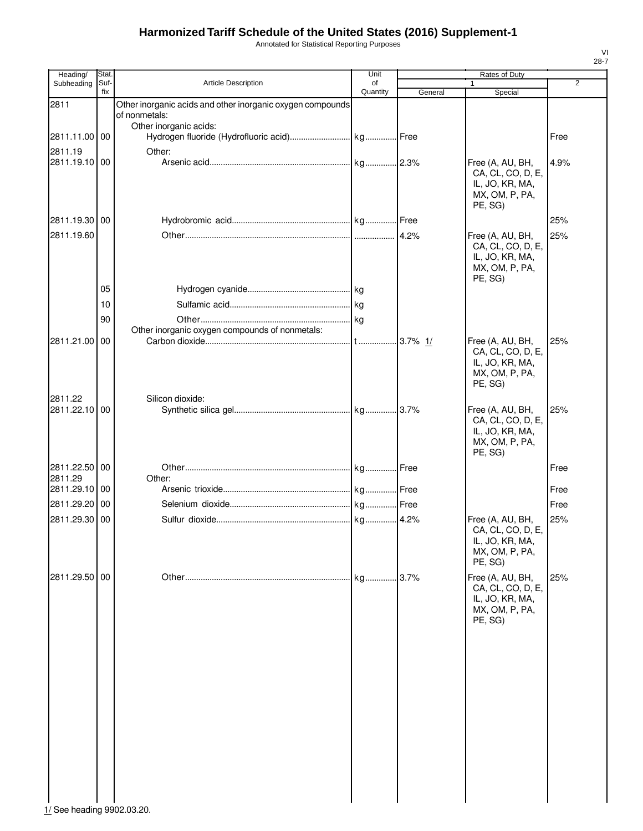Annotated for Statistical Reporting Purposes

| Heading/                 | Stat.       |                                                                             | Unit           |         | Rates of Duty                                                                         |                |
|--------------------------|-------------|-----------------------------------------------------------------------------|----------------|---------|---------------------------------------------------------------------------------------|----------------|
| Subheading               | Suf-<br>fix | Article Description                                                         | of<br>Quantity | General | 1<br>Special                                                                          | $\overline{2}$ |
| 2811                     |             | Other inorganic acids and other inorganic oxygen compounds<br>of nonmetals: |                |         |                                                                                       |                |
| 2811.11.00 00            |             | Other inorganic acids:                                                      |                |         |                                                                                       | Free           |
| 2811.19                  |             | Other:                                                                      |                |         |                                                                                       |                |
| 2811.19.10 00            |             |                                                                             |                |         | Free (A, AU, BH,<br>CA, CL, CO, D, E,<br>IL, JO, KR, MA,<br>MX, OM, P, PA,<br>PE, SG) | 4.9%           |
| 2811.19.30 00            |             |                                                                             |                |         |                                                                                       | 25%            |
| 2811.19.60               |             |                                                                             |                |         | Free (A, AU, BH,<br>CA, CL, CO, D, E,<br>IL, JO, KR, MA,<br>MX, OM, P, PA,<br>PE, SG) | 25%            |
|                          | 05          |                                                                             |                |         |                                                                                       |                |
|                          | 10          |                                                                             |                |         |                                                                                       |                |
|                          | 90          | Other inorganic oxygen compounds of nonmetals:                              |                |         |                                                                                       |                |
| 2811.21.00               | 00          |                                                                             |                |         | Free (A, AU, BH,<br>CA, CL, CO, D, E,<br>IL, JO, KR, MA,<br>MX, OM, P, PA,<br>PE, SG) | 25%            |
| 2811.22                  |             | Silicon dioxide:                                                            |                |         |                                                                                       |                |
| 2811.22.10 00            |             |                                                                             |                |         | Free (A, AU, BH,<br>CA, CL, CO, D, E,<br>IL, JO, KR, MA,<br>MX, OM, P, PA,<br>PE, SG) | 25%            |
| 2811.22.50 00            |             |                                                                             |                |         |                                                                                       | Free           |
| 2811.29<br>2811.29.10 00 |             | Other:                                                                      |                |         |                                                                                       | Free           |
| 2811.29.20               | 00          |                                                                             |                |         |                                                                                       | Free           |
| 2811.29.30               | 00          |                                                                             |                |         | Free (A, AU, BH,                                                                      | 25%            |
|                          |             |                                                                             |                |         | CA, CL, CO, D, E,<br>IL, JO, KR, MA,<br>MX, OM, P, PA,<br>PE, SG)                     |                |
| 2811.29.50 00            |             |                                                                             | kg             | 3.7%    | Free (A, AU, BH,<br>CA, CL, CO, D, E,<br>IL, JO, KR, MA,<br>MX, OM, P, PA,<br>PE, SG) | 25%            |
|                          |             |                                                                             |                |         |                                                                                       |                |

 $\frac{1}{1}$ See heading 9902.03.20.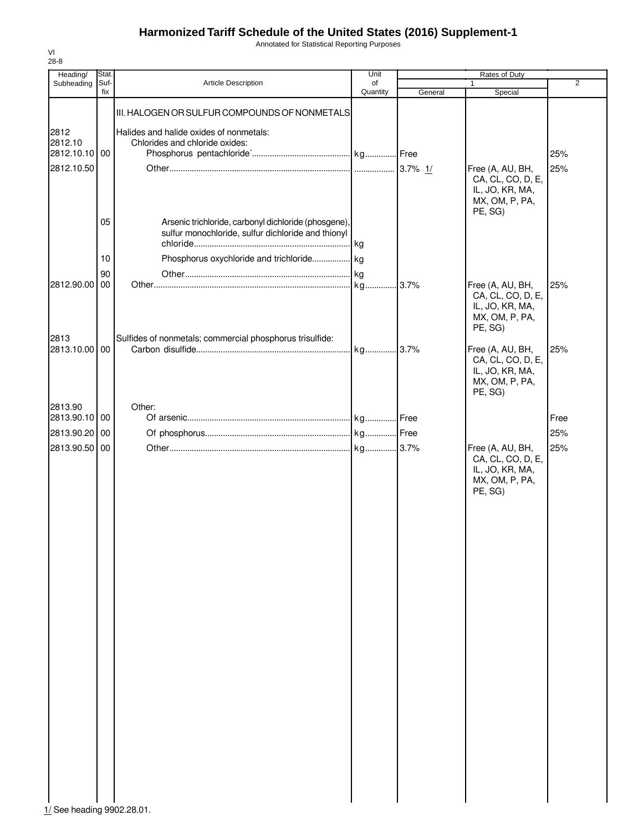Annotated for Statistical Reporting Purposes

| Heading/                                       | Stat.                |                                                                                                                                                         | Unit           |           | Rates of Duty                                                                                                                         |                |
|------------------------------------------------|----------------------|---------------------------------------------------------------------------------------------------------------------------------------------------------|----------------|-----------|---------------------------------------------------------------------------------------------------------------------------------------|----------------|
| Subheading                                     | Suf-<br>fix          | Article Description                                                                                                                                     | of<br>Quantity | General   | 1<br>Special                                                                                                                          | $\overline{2}$ |
| 2812<br>2812.10<br>2812.10.10 00<br>2812.10.50 |                      | III. HALOGEN OR SULFUR COMPOUNDS OF NONMETALS<br>Halides and halide oxides of nonmetals:<br>Chlorides and chloride oxides:                              |                | 3.7% $1/$ | Free (A, AU, BH,<br>CA, CL, CO, D, E,<br>IL, JO, KR, MA,<br>MX, OM, P, PA,                                                            | 25%<br>25%     |
| 2812.90.00                                     | 05<br>10<br>90<br>00 | Arsenic trichloride, carbonyl dichloride (phosgene),<br>sulfur monochloride, sulfur dichloride and thionyl<br>Phosphorus oxychloride and trichloride kg |                | .3.7%     | PE, SG)<br>Free (A, AU, BH,<br>CA, CL, CO, D, E,                                                                                      | 25%            |
| 2813<br>2813.10.00 00                          |                      | Sulfides of nonmetals; commercial phosphorus trisulfide:                                                                                                | kg 3.7%        |           | IL, JO, KR, MA,<br>MX, OM, P, PA,<br>PE, SG)<br>Free (A, AU, BH,<br>CA, CL, CO, D, E,<br>IL, JO, KR, MA,<br>MX, OM, P, PA,<br>PE, SG) | 25%            |
| 2813.90                                        |                      | Other:                                                                                                                                                  |                |           |                                                                                                                                       |                |
| 2813.90.10 00                                  |                      |                                                                                                                                                         |                |           |                                                                                                                                       | Free           |
| 2813.90.20                                     | 00                   |                                                                                                                                                         |                |           |                                                                                                                                       | 25%            |
| 2813.90.50                                     | 00                   |                                                                                                                                                         |                |           | Free (A, AU, BH,<br>CA, CL, CO, D, E,<br>IL, JO, KR, MA,<br>MX, OM, P, PA,<br>PE, SG)                                                 | 25%            |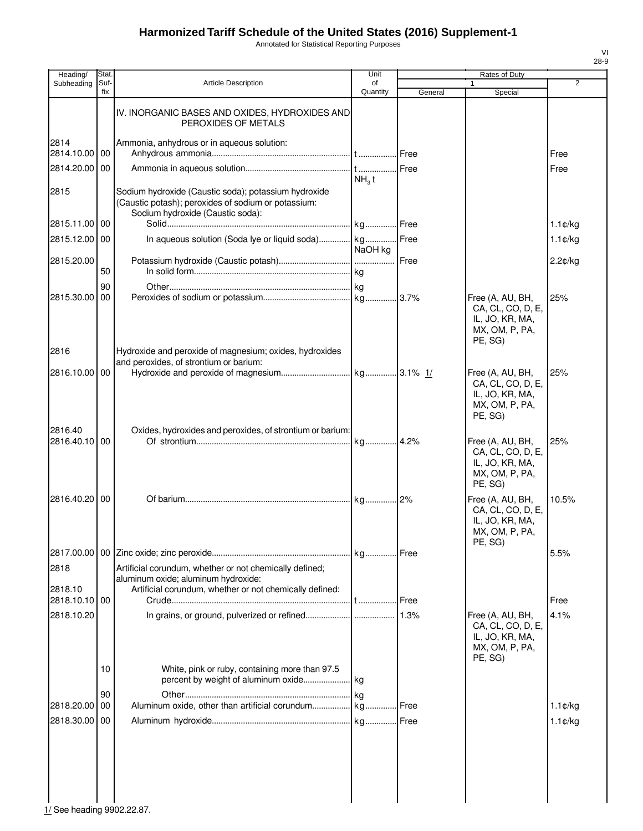Annotated for Statistical Reporting Purposes

| Heading/              | Stat.       |                                                                                                                                                           | Unit              |         | Rates of Duty                                                                         |                      |
|-----------------------|-------------|-----------------------------------------------------------------------------------------------------------------------------------------------------------|-------------------|---------|---------------------------------------------------------------------------------------|----------------------|
| Subheading            | Suf-<br>fix | <b>Article Description</b>                                                                                                                                | οf<br>Quantity    | General | 1<br>Special                                                                          | $\overline{2}$       |
|                       |             | IV. INORGANIC BASES AND OXIDES, HYDROXIDES AND<br>PEROXIDES OF METALS                                                                                     |                   |         |                                                                                       |                      |
| 2814<br>2814.10.00 00 |             | Ammonia, anhydrous or in aqueous solution:                                                                                                                |                   |         |                                                                                       | Free                 |
| 2814.20.00            | 00          |                                                                                                                                                           | NH <sub>3</sub> t | Free    |                                                                                       | Free                 |
| 2815                  |             | Sodium hydroxide (Caustic soda); potassium hydroxide<br>(Caustic potash); peroxides of sodium or potassium:<br>Sodium hydroxide (Caustic soda):           |                   |         |                                                                                       |                      |
| 2815.11.00 00         |             |                                                                                                                                                           | kg Free           |         |                                                                                       | $1.1 \, \text{C/kg}$ |
| 2815.12.00            | 00          | In aqueous solution (Soda lye or liquid soda) kg                                                                                                          | NaOH kg           | . Free  |                                                                                       | $1.1$ ¢/kg           |
| 2815.20.00            |             |                                                                                                                                                           |                   |         |                                                                                       | 2.2¢/kg              |
|                       | 50          |                                                                                                                                                           |                   |         |                                                                                       |                      |
|                       | 90          |                                                                                                                                                           |                   |         |                                                                                       |                      |
| 2815.30.00            | 00          |                                                                                                                                                           |                   |         | Free (A, AU, BH,<br>CA, CL, CO, D, E,<br>IL, JO, KR, MA,<br>MX, OM, P, PA,<br>PE, SG) | 25%                  |
| 2816                  |             | Hydroxide and peroxide of magnesium; oxides, hydroxides                                                                                                   |                   |         |                                                                                       |                      |
| 2816.10.00            | <b>00</b>   | and peroxides, of strontium or barium:                                                                                                                    |                   |         | Free (A, AU, BH,<br>CA, CL, CO, D, E,                                                 | 25%                  |
| 2816.40               |             | Oxides, hydroxides and peroxides, of strontium or barium:                                                                                                 |                   |         | IL, JO, KR, MA,<br>MX, OM, P, PA,<br>PE, SG)                                          |                      |
| 2816.40.10 00         |             |                                                                                                                                                           |                   |         | Free (A, AU, BH,<br>CA, CL, CO, D, E,<br>IL, JO, KR, MA,<br>MX, OM, P, PA,<br>PE, SG) | 25%                  |
| 2816.40.20            | 00          |                                                                                                                                                           |                   |         | Free (A, AU, BH,<br>CA, CL, CO, D, E,<br>IL, JO, KR, MA,<br>MX, OM, P, PA,<br>PE, SG) | 10.5%                |
| 2817.00.00            |             |                                                                                                                                                           |                   |         |                                                                                       | 5.5%                 |
| 2818<br>2818.10       |             | Artificial corundum, whether or not chemically defined;<br>aluminum oxide; aluminum hydroxide:<br>Artificial corundum, whether or not chemically defined: |                   |         |                                                                                       |                      |
| 2818.10.10 00         |             |                                                                                                                                                           |                   | Free    |                                                                                       | Free                 |
| 2818.10.20            |             |                                                                                                                                                           |                   | 1.3%    | Free (A, AU, BH,<br>CA, CL, CO, D, E,<br>IL, JO, KR, MA,<br>MX, OM, P, PA,<br>PE, SG) | 4.1%                 |
|                       | 10          | White, pink or ruby, containing more than 97.5                                                                                                            |                   |         |                                                                                       |                      |
| 2818.20.00            | 90<br>00    |                                                                                                                                                           |                   |         |                                                                                       | $1.1$ ¢/kg           |
| 2818.30.00            |             |                                                                                                                                                           |                   |         |                                                                                       |                      |
|                       | 00          |                                                                                                                                                           |                   |         |                                                                                       | $1.1$ ¢/kg           |
|                       |             |                                                                                                                                                           |                   |         |                                                                                       |                      |

 $\frac{1}{2}$  See heading 9902.22.87.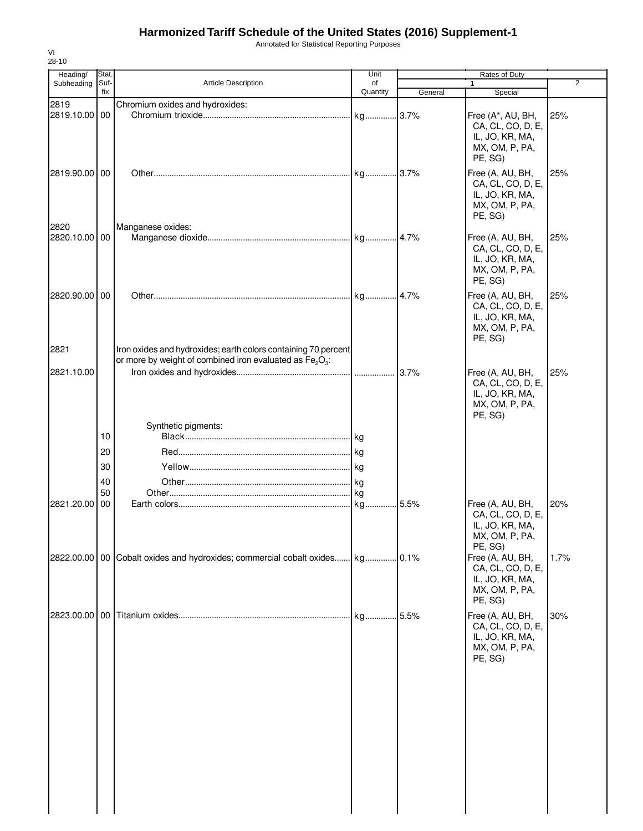Annotated for Statistical Reporting Purposes

| Heading/              | Stat.       |                                                                                                                                                    | Unit           |         | Rates of Duty                                                                          |      |
|-----------------------|-------------|----------------------------------------------------------------------------------------------------------------------------------------------------|----------------|---------|----------------------------------------------------------------------------------------|------|
| Subheading            | Suf-<br>fix | <b>Article Description</b>                                                                                                                         | of<br>Quantity | General | $\mathbf{1}$<br>Special                                                                | 2    |
| 2819                  |             | Chromium oxides and hydroxides:                                                                                                                    |                |         |                                                                                        |      |
| 2819.10.00 00         |             |                                                                                                                                                    |                |         | Free (A*, AU, BH,<br>CA, CL, CO, D, E,<br>IL, JO, KR, MA,<br>MX, OM, P, PA,<br>PE, SG) | 25%  |
| 2819.90.00 00         |             |                                                                                                                                                    |                |         | Free (A, AU, BH,<br>CA, CL, CO, D, E,<br>IL, JO, KR, MA,<br>MX, OM, P, PA,<br>PE, SG)  | 25%  |
| 2820<br>2820.10.00 00 |             | Manganese oxides:                                                                                                                                  |                |         | Free (A, AU, BH,<br>CA, CL, CO, D, E,<br>IL, JO, KR, MA,<br>MX, OM, P, PA,<br>PE, SG)  | 25%  |
| 2820.90.00 00         |             |                                                                                                                                                    |                |         | Free (A, AU, BH,<br>CA, CL, CO, D, E,<br>IL, JO, KR, MA,<br>MX, OM, P, PA,<br>PE, SG)  | 25%  |
| 2821                  |             | Iron oxides and hydroxides; earth colors containing 70 percent<br>or more by weight of combined iron evaluated as Fe <sub>2</sub> O <sub>3</sub> : |                |         |                                                                                        |      |
| 2821.10.00            |             |                                                                                                                                                    |                | 3.7%    | Free (A, AU, BH,<br>CA, CL, CO, D, E,<br>IL, JO, KR, MA,<br>MX, OM, P, PA,<br>PE, SG)  | 25%  |
|                       |             | Synthetic pigments:                                                                                                                                |                |         |                                                                                        |      |
|                       | 10          |                                                                                                                                                    |                |         |                                                                                        |      |
|                       | 20          |                                                                                                                                                    |                |         |                                                                                        |      |
|                       | 30          |                                                                                                                                                    |                |         |                                                                                        |      |
|                       | 40<br>50    |                                                                                                                                                    |                |         |                                                                                        |      |
| 2821.20.00            | <b>00</b>   |                                                                                                                                                    |                |         | Free (A, AU, BH,<br>CA, CL, CO, D, E,<br>IL, JO, KR, MA,<br>MX, OM, P, PA,<br>PE, SG)  | 20%  |
|                       |             | 2822.00.00   00   Cobalt oxides and hydroxides; commercial cobalt oxides kg 0.1%                                                                   |                |         | Free (A, AU, BH,<br>CA, CL, CO, D, E,<br>IL, JO, KR, MA,<br>MX, OM, P, PA,<br>PE, SG)  | 1.7% |
|                       |             |                                                                                                                                                    |                |         | Free (A, AU, BH,<br>CA, CL, CO, D, E,<br>IL, JO, KR, MA,<br>MX, OM, P, PA,<br>PE, SG)  | 30%  |
|                       |             |                                                                                                                                                    |                |         |                                                                                        |      |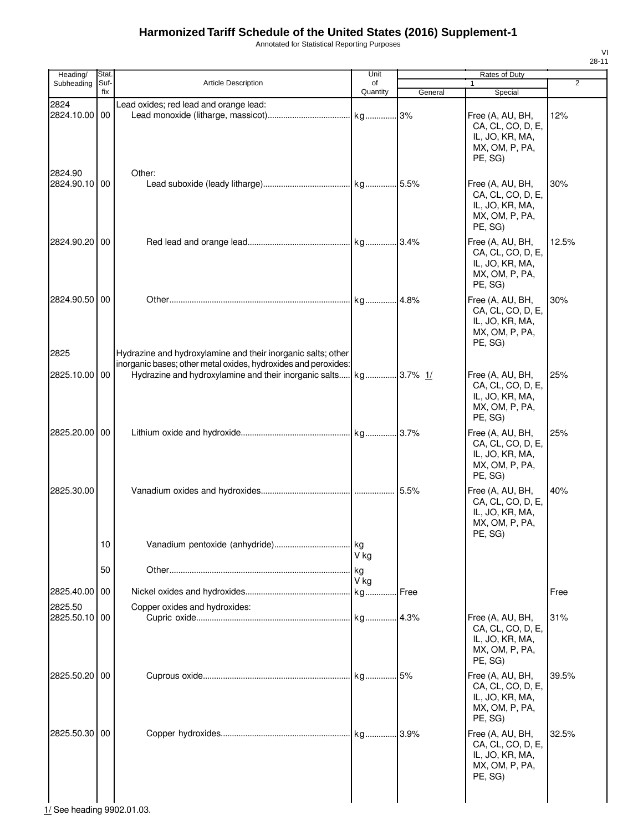Annotated for Statistical Reporting Purposes

| Heading/      | Stat.       |                                                                | Unit           |         | Rates of Duty     |                |
|---------------|-------------|----------------------------------------------------------------|----------------|---------|-------------------|----------------|
| Subheading    | Suf-<br>fix | <b>Article Description</b>                                     | of<br>Quantity |         | $\mathbf{1}$      | $\overline{2}$ |
|               |             |                                                                |                | General | Special           |                |
| 2824          |             | Lead oxides; red lead and orange lead:                         |                |         |                   |                |
| 2824.10.00    | 00          |                                                                |                | 3%      | Free (A, AU, BH,  | 12%            |
|               |             |                                                                |                |         | CA, CL, CO, D, E, |                |
|               |             |                                                                |                |         | IL, JO, KR, MA,   |                |
|               |             |                                                                |                |         | MX, OM, P, PA,    |                |
|               |             |                                                                |                |         | PE, SG)           |                |
| 2824.90       |             | Other:                                                         |                |         |                   |                |
| 2824.90.10 00 |             |                                                                |                |         | Free (A, AU, BH,  | 30%            |
|               |             |                                                                |                |         | CA, CL, CO, D, E, |                |
|               |             |                                                                |                |         | IL, JO, KR, MA,   |                |
|               |             |                                                                |                |         | MX, OM, P, PA,    |                |
|               |             |                                                                |                |         | PE, SG)           |                |
| 2824.90.20    | 00          |                                                                |                |         | Free (A, AU, BH,  | 12.5%          |
|               |             |                                                                |                |         | CA, CL, CO, D, E, |                |
|               |             |                                                                |                |         | IL, JO, KR, MA,   |                |
|               |             |                                                                |                |         | MX, OM, P, PA,    |                |
|               |             |                                                                |                |         | PE, SG)           |                |
| 2824.90.50    | 00          |                                                                |                |         | Free (A, AU, BH,  | 30%            |
|               |             |                                                                |                |         | CA, CL, CO, D, E, |                |
|               |             |                                                                |                |         | IL, JO, KR, MA,   |                |
|               |             |                                                                |                |         | MX, OM, P, PA,    |                |
|               |             |                                                                |                |         | PE, SG)           |                |
| 2825          |             | Hydrazine and hydroxylamine and their inorganic salts; other   |                |         |                   |                |
|               |             | inorganic bases; other metal oxides, hydroxides and peroxides: |                |         |                   |                |
| 2825.10.00    | 00          |                                                                |                |         | Free (A, AU, BH,  | 25%            |
|               |             |                                                                |                |         | CA, CL, CO, D, E, |                |
|               |             |                                                                |                |         | IL, JO, KR, MA,   |                |
|               |             |                                                                |                |         | MX, OM, P, PA,    |                |
|               |             |                                                                |                |         | PE, SG)           |                |
|               |             |                                                                |                |         |                   |                |
| 2825.20.00    | 00          |                                                                |                |         | Free (A, AU, BH,  | 25%            |
|               |             |                                                                |                |         | CA, CL, CO, D, E, |                |
|               |             |                                                                |                |         | IL, JO, KR, MA,   |                |
|               |             |                                                                |                |         | MX, OM, P, PA,    |                |
|               |             |                                                                |                |         | PE. SG)           |                |
| 2825.30.00    |             |                                                                |                |         | Free (A, AU, BH,  | 40%            |
|               |             |                                                                |                |         | CA, CL, CO, D, E, |                |
|               |             |                                                                |                |         | IL, JO, KR, MA,   |                |
|               |             |                                                                |                |         | MX, OM, P, PA,    |                |
|               |             |                                                                |                |         | PE, SG)           |                |
|               | 10          |                                                                |                |         |                   |                |
|               |             |                                                                | V ka           |         |                   |                |
|               | 50          |                                                                | kg             |         |                   |                |
|               |             |                                                                | V ka           |         |                   |                |
| 2825.40.00    | 00          |                                                                |                |         |                   | Free           |
|               |             |                                                                |                |         |                   |                |
| 2825.50       |             | Copper oxides and hydroxides:                                  |                |         |                   |                |
| 2825.50.10    | 00          |                                                                |                | 4.3%    | Free (A, AU, BH,  | 31%            |
|               |             |                                                                |                |         | CA, CL, CO, D, E, |                |
|               |             |                                                                |                |         | IL, JO, KR, MA,   |                |
|               |             |                                                                |                |         | MX, OM, P, PA,    |                |
|               |             |                                                                |                |         | PE, SG)           |                |
| 2825.50.20    | 00          |                                                                |                |         | Free (A, AU, BH,  | 39.5%          |
|               |             |                                                                |                |         | CA, CL, CO, D, E, |                |
|               |             |                                                                |                |         | IL, JO, KR, MA,   |                |
|               |             |                                                                |                |         | MX, OM, P, PA,    |                |
|               |             |                                                                |                |         | PE, SG)           |                |
| 2825.50.30    | 00          |                                                                |                |         | Free (A, AU, BH,  | 32.5%          |
|               |             |                                                                |                |         | CA, CL, CO, D, E, |                |
|               |             |                                                                |                |         | IL, JO, KR, MA,   |                |
|               |             |                                                                |                |         | MX, OM, P, PA,    |                |
|               |             |                                                                |                |         | PE, SG)           |                |
|               |             |                                                                |                |         |                   |                |
|               |             |                                                                |                |         |                   |                |
|               |             |                                                                |                |         |                   |                |

 $\begin{array}{|c|c|} \hline 1 & 1 \ \hline 1/$  See heading 9902.01.03.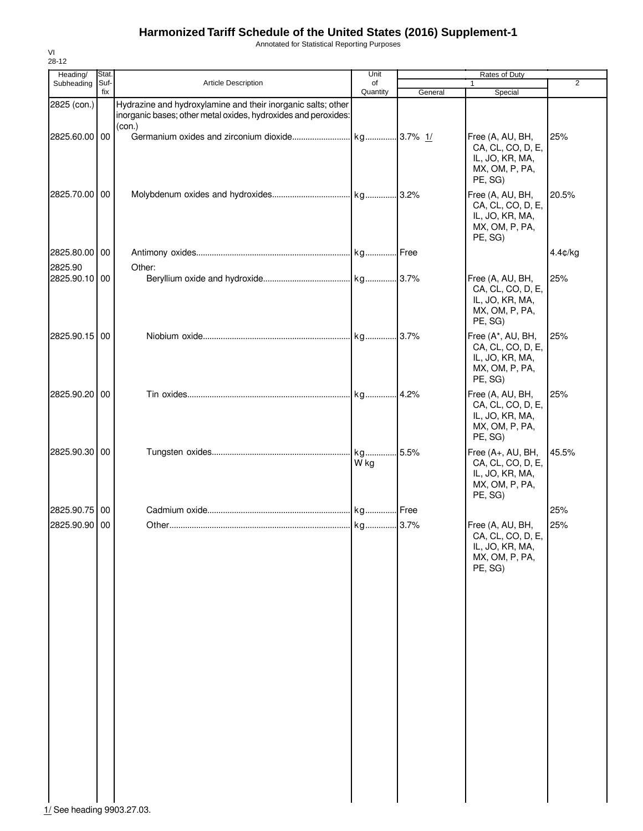Annotated for Statistical Reporting Purposes

| Heading/                                    | Stat.       |                                                                                                                                | Unit           |         | Rates of Duty                                                                          |                |
|---------------------------------------------|-------------|--------------------------------------------------------------------------------------------------------------------------------|----------------|---------|----------------------------------------------------------------------------------------|----------------|
| Subheading                                  | Suf-<br>fix | Article Description                                                                                                            | of<br>Quantity | General | 1<br>Special                                                                           | $\overline{2}$ |
| 2825 (con.)                                 |             | Hydrazine and hydroxylamine and their inorganic salts; other<br>inorganic bases; other metal oxides, hydroxides and peroxides: |                |         |                                                                                        |                |
| 2825.60.00 00                               |             | (con.)                                                                                                                         |                |         | Free (A, AU, BH,<br>CA, CL, CO, D, E,<br>IL, JO, KR, MA,<br>MX, OM, P, PA,<br>PE, SG)  | 25%            |
| 2825.70.00 00                               |             |                                                                                                                                |                |         | Free (A, AU, BH,<br>CA, CL, CO, D, E,<br>IL, JO, KR, MA,<br>MX, OM, P, PA,<br>PE, SG)  | 20.5%          |
| 2825.80.00 00                               |             |                                                                                                                                |                |         |                                                                                        | 4.4¢/kg        |
| 2825.90<br>2825.90.10 00                    |             | Other:                                                                                                                         |                |         | Free (A, AU, BH,<br>CA, CL, CO, D, E,<br>IL, JO, KR, MA,<br>MX, OM, P, PA,<br>PE, SG)  | 25%            |
| 2825.90.15 00                               |             |                                                                                                                                |                |         | Free (A*, AU, BH,<br>CA, CL, CO, D, E,<br>IL, JO, KR, MA,<br>MX, OM, P, PA,<br>PE, SG) | 25%            |
| 2825.90.20 00                               |             |                                                                                                                                |                |         | Free (A, AU, BH,<br>CA, CL, CO, D, E,<br>IL, JO, KR, MA,<br>MX, OM, P, PA,<br>PE, SG)  | 25%            |
| 2825.90.30 00                               |             |                                                                                                                                | W kg           |         | Free (A+, AU, BH,<br>CA, CL, CO, D, E,<br>IL, JO, KR, MA,<br>MX, OM, P, PA,<br>PE, SG) | 45.5%          |
| 2825.90.75 00                               |             |                                                                                                                                |                |         |                                                                                        | 25%            |
| 2825.90.90 00<br>1/ See heading 9903.27.03. |             |                                                                                                                                |                |         | Free (A, AU, BH,<br>CA, CL, CO, D, E,<br>IL, JO, KR, MA,<br>MX, OM, P, PA,<br>PE, SG)  | 25%            |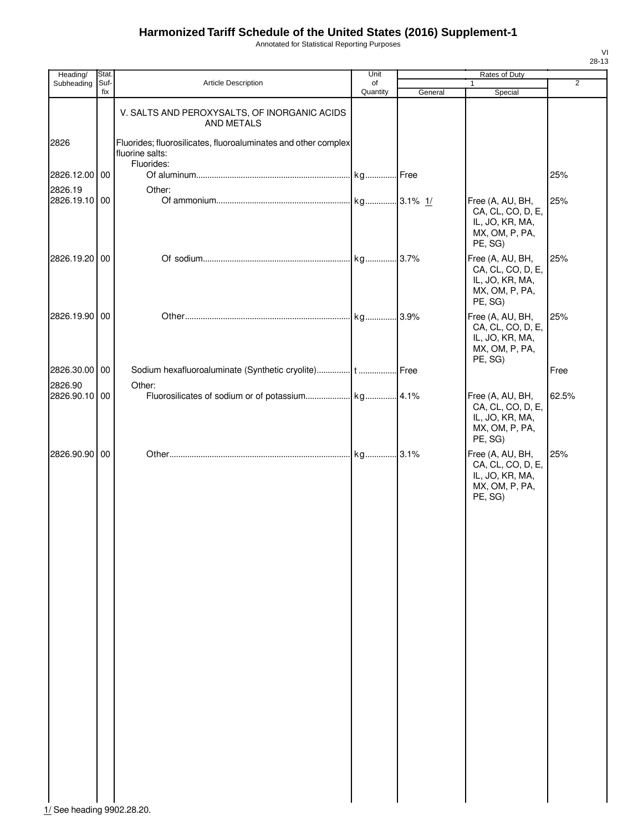Annotated for Statistical Reporting Purposes

| Heading/      | Stat.       |                                                                                                 | Unit           |         | Rates of Duty                                                                         |                |
|---------------|-------------|-------------------------------------------------------------------------------------------------|----------------|---------|---------------------------------------------------------------------------------------|----------------|
| Subheading    | Suf-<br>fix | <b>Article Description</b>                                                                      | of<br>Quantity | General | $\mathbf{1}$<br>Special                                                               | $\overline{2}$ |
|               |             | V. SALTS AND PEROXYSALTS, OF INORGANIC ACIDS<br><b>AND METALS</b>                               |                |         |                                                                                       |                |
| 2826          |             | Fluorides; fluorosilicates, fluoroaluminates and other complex<br>fluorine salts:<br>Fluorides: |                |         |                                                                                       |                |
| 2826.12.00 00 |             |                                                                                                 |                |         |                                                                                       | 25%            |
| 2826.19       |             | Other:                                                                                          |                |         |                                                                                       |                |
| 2826.19.10 00 |             |                                                                                                 |                |         | Free (A, AU, BH,<br>CA, CL, CO, D, E,<br>IL, JO, KR, MA,<br>MX, OM, P, PA,<br>PE, SG) | 25%            |
| 2826.19.20 00 |             |                                                                                                 |                |         | Free (A, AU, BH,<br>CA, CL, CO, D, E,<br>IL, JO, KR, MA,<br>MX, OM, P, PA,<br>PE, SG) | 25%            |
| 2826.19.90 00 |             |                                                                                                 |                |         | Free (A, AU, BH,<br>CA, CL, CO, D, E,<br>IL, JO, KR, MA,<br>MX, OM, P, PA,<br>PE, SG) | 25%            |
| 2826.30.00 00 |             |                                                                                                 |                |         |                                                                                       | Free           |
| 2826.90       |             | Other:                                                                                          |                |         |                                                                                       |                |
| 2826.90.10 00 |             |                                                                                                 |                |         | Free (A, AU, BH,<br>CA, CL, CO, D, E,<br>IL, JO, KR, MA,<br>MX, OM, P, PA,<br>PE, SG) | 62.5%          |
| 2826.90.90 00 |             |                                                                                                 |                |         | Free (A, AU, BH,<br>CA, CL, CO, D, E,<br>IL, JO, KR, MA,<br>MX, OM, P, PA,<br>PE, SG) | 25%            |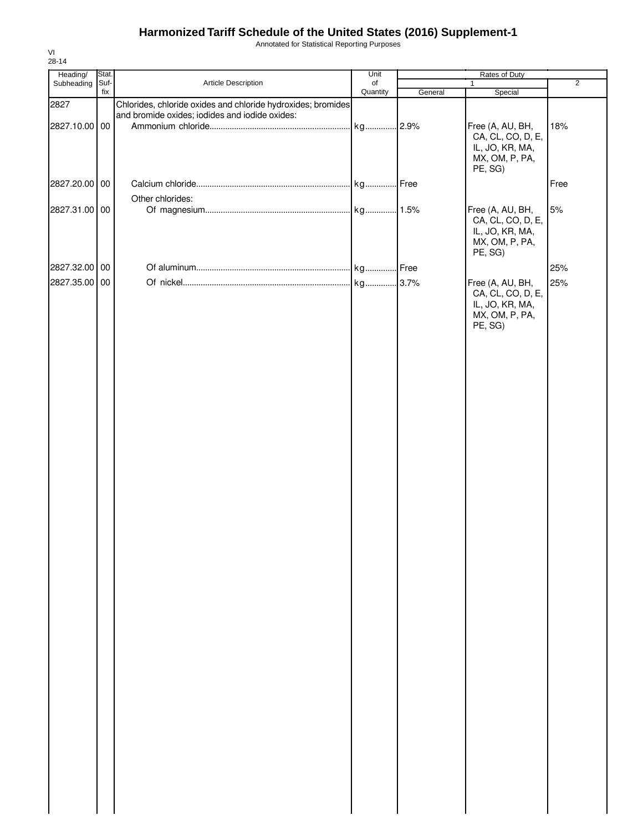Annotated for Statistical Reporting Purposes

| Heading/      | Stat. |                                                              | Unit     |         | Rates of Duty             |                |
|---------------|-------|--------------------------------------------------------------|----------|---------|---------------------------|----------------|
| Subheading    | Suf-  | Article Description                                          | of       |         | $\mathbf{1}$              | $\overline{2}$ |
|               | fix   |                                                              | Quantity | General | Special                   |                |
| 2827          |       | Chlorides, chloride oxides and chloride hydroxides; bromides |          |         |                           |                |
|               |       | and bromide oxides; iodides and iodide oxides:               |          |         |                           |                |
| 2827.10.00 00 |       |                                                              |          |         | Free (A, AU, BH,          | 18%            |
|               |       |                                                              |          |         | CA, CL, CO, D, E,         |                |
|               |       |                                                              |          |         | IL, JO, KR, MA,           |                |
|               |       |                                                              |          |         | MX, OM, P, PA,<br>PE, SG) |                |
|               |       |                                                              |          |         |                           |                |
| 2827.20.00 00 |       |                                                              |          |         |                           | Free           |
|               |       | Other chlorides:                                             |          |         |                           |                |
| 2827.31.00 00 |       |                                                              |          |         | Free (A, AU, BH,          | 5%             |
|               |       |                                                              |          |         | CA, CL, CO, D, E,         |                |
|               |       |                                                              |          |         | IL, JO, KR, MA,           |                |
|               |       |                                                              |          |         | MX, OM, P, PA,            |                |
|               |       |                                                              |          |         | PE, SG)                   |                |
|               |       |                                                              |          |         |                           |                |
| 2827.32.00 00 |       |                                                              |          |         |                           | 25%            |
| 2827.35.00 00 |       |                                                              |          |         | Free (A, AU, BH,          | 25%            |
|               |       |                                                              |          |         | CA, CL, CO, D, E,         |                |
|               |       |                                                              |          |         | IL, JO, KR, MA,           |                |
|               |       |                                                              |          |         | MX, OM, P, PA,            |                |
|               |       |                                                              |          |         | PE, SG)                   |                |
|               |       |                                                              |          |         |                           |                |
|               |       |                                                              |          |         |                           |                |
|               |       |                                                              |          |         |                           |                |
|               |       |                                                              |          |         |                           |                |
|               |       |                                                              |          |         |                           |                |
|               |       |                                                              |          |         |                           |                |
|               |       |                                                              |          |         |                           |                |
|               |       |                                                              |          |         |                           |                |
|               |       |                                                              |          |         |                           |                |
|               |       |                                                              |          |         |                           |                |
|               |       |                                                              |          |         |                           |                |
|               |       |                                                              |          |         |                           |                |
|               |       |                                                              |          |         |                           |                |
|               |       |                                                              |          |         |                           |                |
|               |       |                                                              |          |         |                           |                |
|               |       |                                                              |          |         |                           |                |
|               |       |                                                              |          |         |                           |                |
|               |       |                                                              |          |         |                           |                |
|               |       |                                                              |          |         |                           |                |
|               |       |                                                              |          |         |                           |                |
|               |       |                                                              |          |         |                           |                |
|               |       |                                                              |          |         |                           |                |
|               |       |                                                              |          |         |                           |                |
|               |       |                                                              |          |         |                           |                |
|               |       |                                                              |          |         |                           |                |
|               |       |                                                              |          |         |                           |                |
|               |       |                                                              |          |         |                           |                |
|               |       |                                                              |          |         |                           |                |
|               |       |                                                              |          |         |                           |                |
|               |       |                                                              |          |         |                           |                |
|               |       |                                                              |          |         |                           |                |
|               |       |                                                              |          |         |                           |                |
|               |       |                                                              |          |         |                           |                |
|               |       |                                                              |          |         |                           |                |
|               |       |                                                              |          |         |                           |                |
|               |       |                                                              |          |         |                           |                |
|               |       |                                                              |          |         |                           |                |
|               |       |                                                              |          |         |                           |                |
|               |       |                                                              |          |         |                           |                |
|               |       |                                                              |          |         |                           |                |
|               |       |                                                              |          |         |                           |                |
|               |       |                                                              |          |         |                           |                |
|               |       |                                                              |          |         |                           |                |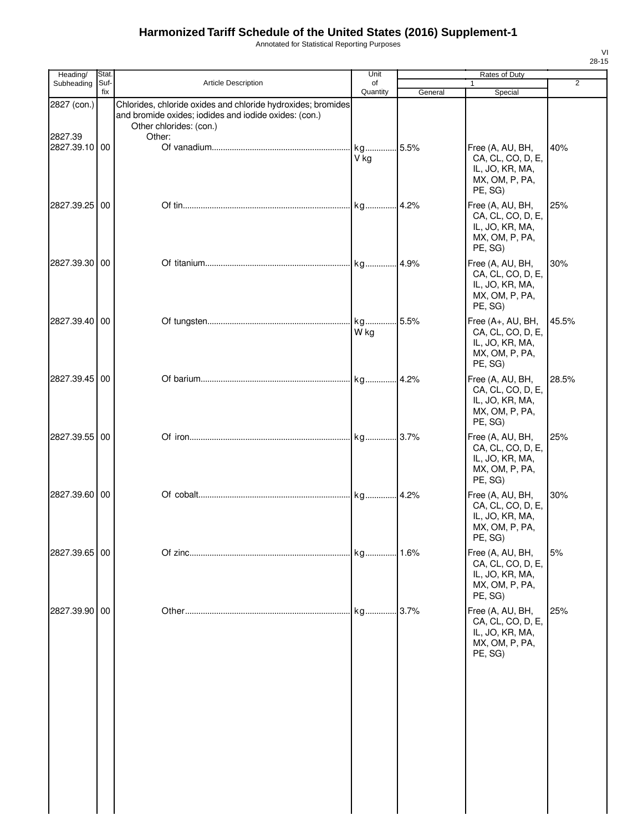Annotated for Statistical Reporting Purposes

| Heading/               | Stat.       |                                                                                                                                                            | Unit            |         | Rates of Duty                                                                          |                |
|------------------------|-------------|------------------------------------------------------------------------------------------------------------------------------------------------------------|-----------------|---------|----------------------------------------------------------------------------------------|----------------|
| Subheading             | Suf-<br>fix | Article Description                                                                                                                                        | of<br>Quantity  | General | 1<br>Special                                                                           | $\overline{2}$ |
| 2827 (con.)<br>2827.39 |             | Chlorides, chloride oxides and chloride hydroxides; bromides<br>and bromide oxides; iodides and iodide oxides: (con.)<br>Other chlorides: (con.)<br>Other: |                 |         |                                                                                        |                |
| 2827.39.10 00          |             |                                                                                                                                                            | kg 5.5%<br>V kg |         | Free (A, AU, BH,<br>CA, CL, CO, D, E,<br>IL, JO, KR, MA,<br>MX, OM, P, PA,<br>PE, SG)  | 40%            |
| 2827.39.25 00          |             |                                                                                                                                                            |                 | 4.2%    | Free (A, AU, BH,<br>CA, CL, CO, D, E,<br>IL, JO, KR, MA,<br>MX, OM, P, PA,<br>PE, SG)  | 25%            |
| 2827.39.30 00          |             |                                                                                                                                                            |                 |         | Free (A, AU, BH,<br>CA, CL, CO, D, E,<br>IL, JO, KR, MA,<br>MX, OM, P, PA,<br>PE, SG)  | 30%            |
| 2827.39.40 00          |             |                                                                                                                                                            | W kg            |         | Free (A+, AU, BH,<br>CA, CL, CO, D, E,<br>IL, JO, KR, MA,<br>MX, OM, P, PA,<br>PE, SG) | 45.5%          |
| 2827.39.45 00          |             |                                                                                                                                                            |                 |         | Free (A, AU, BH,<br>CA, CL, CO, D, E,<br>IL, JO, KR, MA,<br>MX, OM, P, PA,<br>PE, SG)  | 28.5%          |
| 2827.39.55 00          |             |                                                                                                                                                            |                 |         | Free (A, AU, BH,<br>CA, CL, CO, D, E,<br>IL, JO, KR, MA,<br>MX, OM, P, PA,<br>PE, SG)  | 25%            |
| 2827.39.60 00          |             |                                                                                                                                                            |                 |         | Free (A, AU, BH,<br>CA, CL, CO, D, E,<br>IL, JO, KR, MA,<br>MX, OM, P, PA,<br>PE, SG)  | 30%            |
| 2827.39.65 00          |             |                                                                                                                                                            |                 |         | Free (A, AU, BH,<br>CA, CL, CO, D, E,<br>IL, JO, KR, MA,<br>MX, OM, P, PA,<br>PE, SG)  | 5%             |
| 2827.39.90 00          |             |                                                                                                                                                            | kg              | .3.7%   | Free (A, AU, BH,<br>CA, CL, CO, D, E,<br>IL, JO, KR, MA,<br>MX, OM, P, PA,<br>PE, SG)  | 25%            |
|                        |             |                                                                                                                                                            |                 |         |                                                                                        |                |
|                        |             |                                                                                                                                                            |                 |         |                                                                                        |                |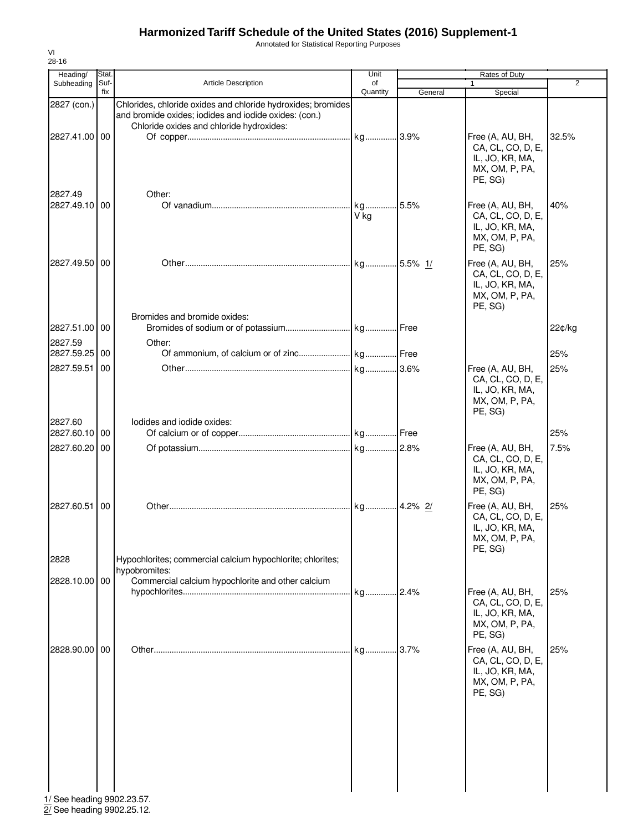Annotated for Statistical Reporting Purposes

| Heading/                                    | Stat.       |                                                                                                                       | Unit       |          | Rates of Duty                                                                         |                |
|---------------------------------------------|-------------|-----------------------------------------------------------------------------------------------------------------------|------------|----------|---------------------------------------------------------------------------------------|----------------|
| Subheading                                  | Suf-<br>fix | <b>Article Description</b>                                                                                            | of         |          | 1                                                                                     | $\overline{2}$ |
| 2827 (con.)                                 |             | Chlorides, chloride oxides and chloride hydroxides; bromides<br>and bromide oxides; iodides and iodide oxides: (con.) | Quantity   | General  | Special                                                                               |                |
| 2827.41.00 00                               |             | Chloride oxides and chloride hydroxides:                                                                              |            |          | Free (A, AU, BH,<br>CA, CL, CO, D, E,<br>IL, JO, KR, MA,<br>MX, OM, P, PA,<br>PE, SG) | 32.5%          |
| 2827.49<br>2827.49.10 00                    |             | Other:                                                                                                                | kg<br>V kg | 5.5%     | Free (A, AU, BH,<br>CA, CL, CO, D, E,<br>IL, JO, KR, MA,<br>MX, OM, P, PA,<br>PE, SG) | 40%            |
| 2827.49.50 00                               |             | Bromides and bromide oxides:                                                                                          |            |          | Free (A, AU, BH,<br>CA, CL, CO, D, E,<br>IL, JO, KR, MA,<br>MX, OM, P, PA,<br>PE, SG) | 25%            |
| 2827.51.00 00<br>2827.59                    |             | Other:                                                                                                                |            |          |                                                                                       | 22¢/kg         |
| 2827.59.25                                  | 00          |                                                                                                                       |            |          |                                                                                       | 25%            |
| 2827.59.51                                  | 00          |                                                                                                                       |            |          | Free (A, AU, BH,<br>CA, CL, CO, D, E,<br>IL, JO, KR, MA,<br>MX, OM, P, PA,<br>PE, SG) | 25%            |
| 2827.60<br>2827.60.10 00                    |             | lodides and iodide oxides:                                                                                            |            |          |                                                                                       | 25%            |
| 2827.60.20                                  | 00          |                                                                                                                       |            |          | Free (A, AU, BH,<br>CA, CL, CO, D, E,<br>IL, JO, KR, MA,<br>MX, OM, P, PA,<br>PE, SG) | 7.5%           |
| 2827.60.51                                  | 00          |                                                                                                                       | kg         | .4.2% 2/ | Free (A, AU, BH,<br>CA, CL, CO, D, E,<br>IL, JO, KR, MA,<br>MX, OM, P, PA,<br>PE, SG) | 25%            |
| 2828                                        |             | Hypochlorites; commercial calcium hypochlorite; chlorites;<br>hypobromites:                                           |            |          |                                                                                       |                |
| 2828.10.00 00                               |             | Commercial calcium hypochlorite and other calcium                                                                     | kg2.4%     |          | Free (A, AU, BH,<br>CA, CL, CO, D, E,<br>IL, JO, KR, MA,<br>MX, OM, P, PA,<br>PE, SG) | 25%            |
| 2828.90.00 00<br>1/ See heading 9902.23.57. |             |                                                                                                                       | . kg       | .3.7%    | Free (A, AU, BH,<br>CA, CL, CO, D, E,<br>IL, JO, KR, MA,<br>MX, OM, P, PA,<br>PE, SG) | 25%            |

2/ See heading 9902.25.12.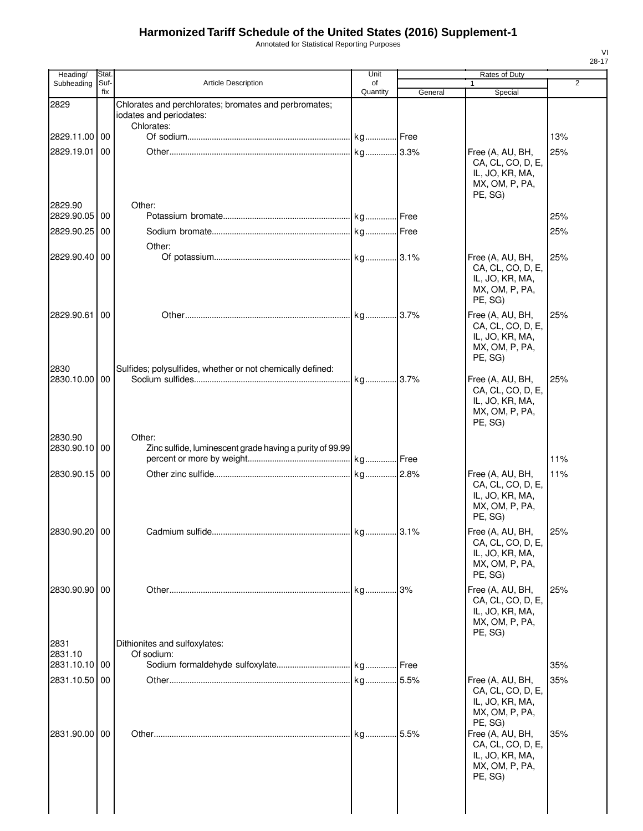Annotated for Statistical Reporting Purposes

| Heading/              | Stat.       |                                                                                  | Unit           |         | Rates of Duty                                                                         |                |
|-----------------------|-------------|----------------------------------------------------------------------------------|----------------|---------|---------------------------------------------------------------------------------------|----------------|
| Subheading            | Suf-<br>fix | <b>Article Description</b>                                                       | of<br>Quantity | General | $\mathbf{1}$<br>Special                                                               | $\overline{2}$ |
| 2829                  |             | Chlorates and perchlorates; bromates and perbromates;<br>iodates and periodates: |                |         |                                                                                       |                |
| 2829.11.00 00         |             | Chlorates:                                                                       |                |         |                                                                                       | 13%            |
| 2829.19.01            | 00          |                                                                                  |                |         | Free (A, AU, BH,                                                                      | 25%            |
| 2829.90               |             | Other:                                                                           |                |         | CA, CL, CO, D, E,<br>IL, JO, KR, MA,<br>MX, OM, P, PA,<br>PE, SG)                     |                |
| 2829.90.05 00         |             |                                                                                  |                |         |                                                                                       | 25%            |
| 2829.90.25            | 00          |                                                                                  |                |         |                                                                                       | 25%            |
|                       |             | Other:                                                                           |                |         |                                                                                       |                |
| 2829.90.40 00         |             |                                                                                  |                |         | Free (A, AU, BH,<br>CA, CL, CO, D, E,<br>IL, JO, KR, MA,<br>MX, OM, P, PA,<br>PE, SG) | 25%            |
| 2829.90.61            | 00          |                                                                                  |                |         | Free (A, AU, BH,                                                                      | 25%            |
| 2830                  |             | Sulfides; polysulfides, whether or not chemically defined:                       |                |         | CA, CL, CO, D, E,<br>IL, JO, KR, MA,<br>MX, OM, P, PA,<br>PE. SG)                     |                |
| 2830.10.00            | 00          |                                                                                  |                |         | Free (A, AU, BH,                                                                      | 25%            |
|                       |             |                                                                                  |                |         | CA, CL, CO, D, E,<br>IL, JO, KR, MA,<br>MX, OM, P, PA,<br>PE, SG)                     |                |
| 2830.90<br>2830.90.10 | 00          | Other:<br>Zinc sulfide, luminescent grade having a purity of 99.99               |                |         |                                                                                       |                |
|                       |             |                                                                                  |                |         |                                                                                       | 11%            |
| 2830.90.15            | 00          |                                                                                  |                |         | Free (A, AU, BH,<br>CA, CL, CO, D, E,<br>IL, JO, KR, MA,<br>MX, OM, P, PA,<br>PE, SG) | 11%            |
| 2830.90.20 00         |             |                                                                                  |                |         | Free (A, AU, BH,                                                                      | 25%            |
|                       |             |                                                                                  |                |         | CA, CL, CO, D, E,<br>IL, JO, KR, MA,<br>MX, OM, P, PA,<br>PE, SG)                     |                |
| 2830.90.90 00         |             |                                                                                  | kg 3%          |         | Free (A, AU, BH,                                                                      | 25%            |
| 2831                  |             | Dithionites and sulfoxylates:                                                    |                |         | CA, CL, CO, D, E,<br>IL, JO, KR, MA,<br>MX, OM, P, PA,<br>PE, SG)                     |                |
| 2831.10               |             | Of sodium:                                                                       |                |         |                                                                                       |                |
| 2831.10.10 00         |             |                                                                                  |                |         |                                                                                       | 35%            |
| 2831.10.50            | 00          |                                                                                  |                |         | Free (A, AU, BH,<br>CA, CL, CO, D, E,<br>IL, JO, KR, MA,<br>MX, OM, P, PA,<br>PE, SG) | 35%            |
| 2831.90.00 00         |             |                                                                                  |                |         | Free (A, AU, BH,<br>CA, CL, CO, D, E,<br>IL, JO, KR, MA,<br>MX, OM, P, PA,<br>PE, SG) | 35%            |
|                       |             |                                                                                  |                |         |                                                                                       |                |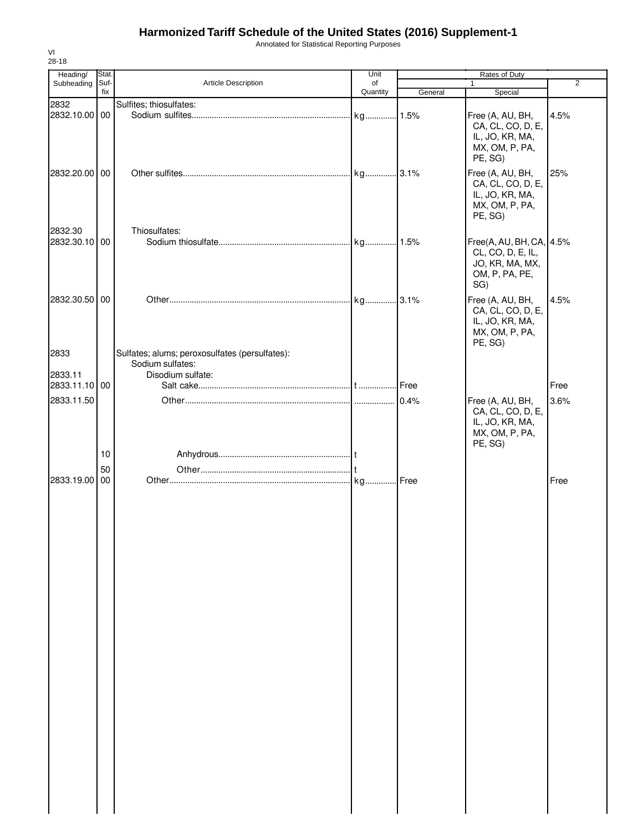Annotated for Statistical Reporting Purposes

| Heading/<br>Subheading   | Stat.<br>Suf- | <b>Article Description</b>                                         | Unit<br>of |         | Rates of Duty<br>$\mathbf{1}$                                                             | $\overline{c}$ |
|--------------------------|---------------|--------------------------------------------------------------------|------------|---------|-------------------------------------------------------------------------------------------|----------------|
|                          | fix           |                                                                    | Quantity   | General | Special                                                                                   |                |
| 2832                     |               | Sulfites; thiosulfates:                                            |            |         |                                                                                           |                |
| 2832.10.00 00            |               |                                                                    |            |         | Free (A, AU, BH,<br>CA, CL, CO, D, E,<br>IL, JO, KR, MA,<br>MX, OM, P, PA,<br>PE, SG)     | 4.5%           |
| 2832.20.00 00            |               |                                                                    |            |         | Free (A, AU, BH,<br>CA, CL, CO, D, E,<br>IL, JO, KR, MA,<br>MX, OM, P, PA,<br>PE, SG)     | 25%            |
| 2832.30<br>2832.30.10 00 |               | Thiosulfates:                                                      |            |         | Free(A, AU, BH, CA, 4.5%<br>CL, CO, D, E, IL,<br>JO, KR, MA, MX,<br>OM, P, PA, PE,<br>SG) |                |
| 2832.30.50               | 00            |                                                                    |            |         | Free (A, AU, BH,<br>CA, CL, CO, D, E,<br>IL, JO, KR, MA,<br>MX, OM, P, PA,<br>PE, SG)     | 4.5%           |
| 2833                     |               | Sulfates; alums; peroxosulfates (persulfates):<br>Sodium sulfates: |            |         |                                                                                           |                |
| 2833.11                  |               | Disodium sulfate:                                                  |            |         |                                                                                           |                |
| 2833.11.10 00            |               |                                                                    |            | Free    |                                                                                           | Free           |
| 2833.11.50               |               |                                                                    |            | 0.4%    | Free (A, AU, BH,<br>CA, CL, CO, D, E,<br>IL, JO, KR, MA,<br>MX, OM, P, PA,<br>PE, SG)     | 3.6%           |
|                          | 10            |                                                                    |            |         |                                                                                           |                |
| 2833.19.00               | 50<br>00      |                                                                    |            |         |                                                                                           | Free           |
|                          |               |                                                                    |            |         |                                                                                           |                |

VI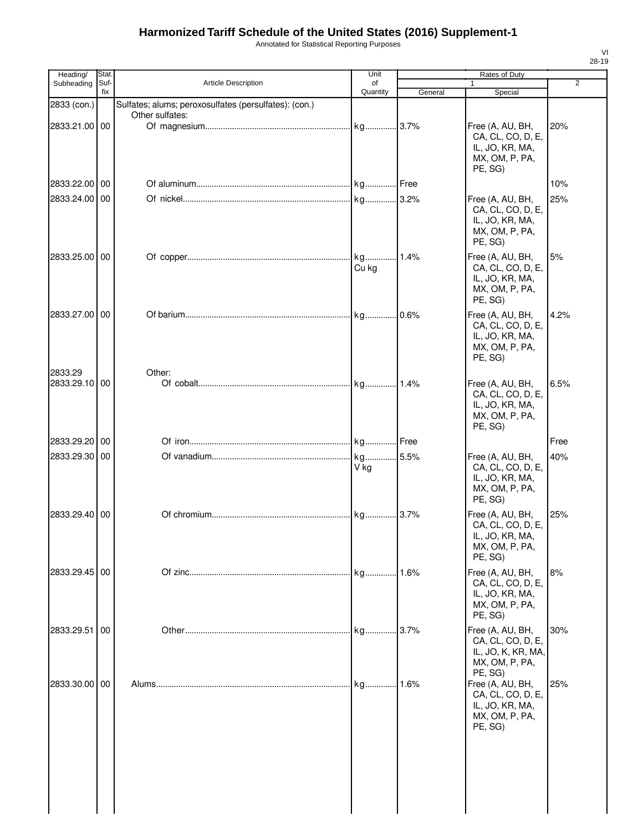Annotated for Statistical Reporting Purposes

| Heading/                 | <b>Stat</b> |                                                       | Unit           |           | Rates of Duty                                                                            |                |
|--------------------------|-------------|-------------------------------------------------------|----------------|-----------|------------------------------------------------------------------------------------------|----------------|
| Subheading               | Suf-<br>fix | <b>Article Description</b>                            | of<br>Quantity | General   | 1<br>Special                                                                             | $\overline{2}$ |
| 2833 (con.)              |             | Sulfates; alums; peroxosulfates (persulfates): (con.) |                |           |                                                                                          |                |
| 2833.21.00 00            |             | Other sulfates:                                       |                |           | Free (A, AU, BH,<br>CA, CL, CO, D, E,<br>IL, JO, KR, MA,<br>MX, OM, P, PA,<br>PE, SG)    | 20%            |
| 2833.22.00 00            |             |                                                       |                |           |                                                                                          | 10%            |
| 2833.24.00 00            |             |                                                       |                |           | Free (A, AU, BH,<br>CA, CL, CO, D, E,<br>IL, JO, KR, MA,<br>MX, OM, P, PA,<br>PE, SG)    | 25%            |
| 2833.25.00 00            |             |                                                       | Cu kg          | 1.4%      | Free (A, AU, BH,<br>CA, CL, CO, D, E,<br>IL, JO, KR, MA,<br>MX, OM, P, PA,<br>PE, SG)    | 5%             |
| 2833.27.00 00            |             |                                                       |                | 0.6%      | Free (A, AU, BH,<br>CA, CL, CO, D, E,<br>IL, JO, KR, MA,<br>MX, OM, P, PA,<br>PE, SG)    | 4.2%           |
| 2833.29<br>2833.29.10 00 |             | Other:                                                | kg             | 1.4%      | Free (A, AU, BH,<br>CA, CL, CO, D, E,<br>IL, JO, KR, MA,<br>MX, OM, P, PA,<br>PE, SG)    | 6.5%           |
| 2833.29.20 00            |             |                                                       |                |           |                                                                                          | Free           |
| 2833.29.30 00            |             |                                                       | kg<br>V kg     | .5.5%     | Free (A, AU, BH,<br>CA, CL, CO, D, E,<br>IL, JO, KR, MA,<br>MX, OM, P, PA,<br>PE, SG)    | 40%            |
| 2833.29.40 00            |             |                                                       |                |           | Free (A, AU, BH,<br>CA, CL, CO, D, E,<br>IL, JO, KR, MA,<br>MX, OM, P, PA,<br>PE, SG)    | 25%            |
| 2833.29.45 00            |             |                                                       | kg 1.6%        |           | Free (A, AU, BH,<br>CA, CL, CO, D, E,<br>IL, JO, KR, MA,<br>MX, OM, P, PA,<br>PE, SG)    | 8%             |
| 2833.29.51               | 00          |                                                       |                | $.13.7\%$ | Free (A, AU, BH,<br>CA, CL, CO, D, E,<br>IL, JO, K, KR, MA,<br>MX, OM, P, PA,<br>PE, SG) | 30%            |
| 2833.30.00 00            |             |                                                       | kg             | .1.6%     | Free (A, AU, BH,<br>CA, CL, CO, D, E,<br>IL, JO, KR, MA,<br>MX, OM, P, PA,<br>PE, SG)    | 25%            |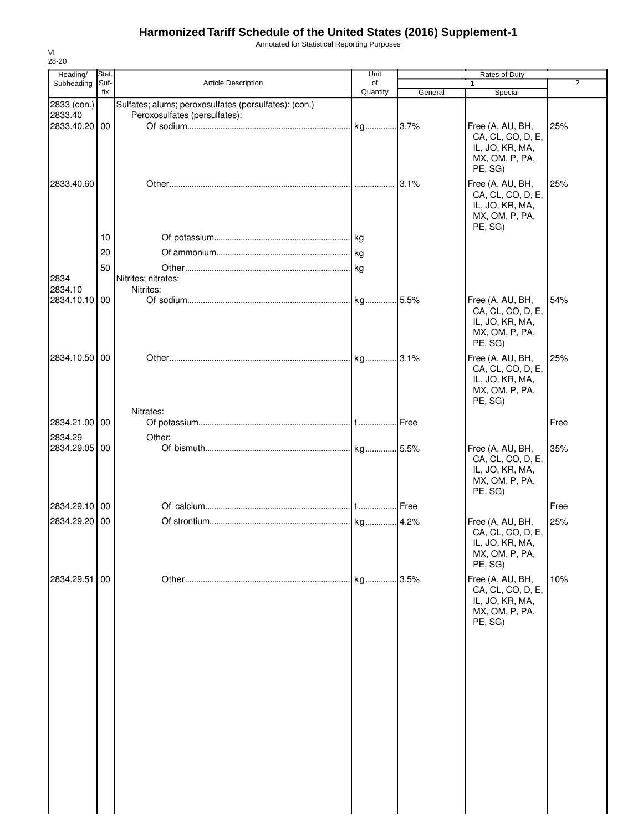Annotated for Statistical Reporting Purposes

| 28-20                    |             |                                                                                        |                |         |                                                                                       |                |
|--------------------------|-------------|----------------------------------------------------------------------------------------|----------------|---------|---------------------------------------------------------------------------------------|----------------|
| Heading/                 | <b>Stat</b> |                                                                                        | Unit           |         | Rates of Duty                                                                         | $\overline{2}$ |
| Subheading               | Suf-<br>fix | <b>Article Description</b>                                                             | of<br>Quantity | General | Special                                                                               |                |
| 2833 (con.)<br>2833.40   |             | Sulfates; alums; peroxosulfates (persulfates): (con.)<br>Peroxosulfates (persulfates): |                |         |                                                                                       |                |
| 2833.40.20 00            |             |                                                                                        |                |         | Free (A, AU, BH,<br>CA, CL, CO, D, E,<br>IL, JO, KR, MA,<br>MX, OM, P, PA,<br>PE, SG) | 25%            |
| 2833.40.60               |             |                                                                                        |                | 3.1%    | Free (A, AU, BH,<br>CA, CL, CO, D, E,<br>IL, JO, KR, MA,<br>MX, OM, P, PA,<br>PE, SG) | 25%            |
|                          | 10          |                                                                                        |                |         |                                                                                       |                |
|                          | 20          |                                                                                        |                |         |                                                                                       |                |
|                          | 50          |                                                                                        |                |         |                                                                                       |                |
| 2834<br>2834.10          |             | Nitrites; nitrates:<br>Nitrites:                                                       |                |         |                                                                                       |                |
| 2834.10.10 00            |             |                                                                                        |                |         | Free (A, AU, BH,<br>CA, CL, CO, D, E,<br>IL, JO, KR, MA,<br>MX, OM, P, PA,<br>PE, SG) | 54%            |
| 2834.10.50 00            |             |                                                                                        |                |         | Free (A, AU, BH,<br>CA, CL, CO, D, E,<br>IL, JO, KR, MA,<br>MX, OM, P, PA,<br>PE, SG) | 25%            |
| 2834.21.00 00            |             | Nitrates:                                                                              |                | Free    |                                                                                       | Free           |
|                          |             |                                                                                        |                |         |                                                                                       |                |
| 2834.29<br>2834.29.05 00 |             | Other:                                                                                 |                |         | Free (A, AU, BH,<br>CA, CL, CO, D, E,<br>IL, JO, KR, MA,<br>MX, OM, P, PA,<br>PE, SG) | 35%            |
| 2834.29.10 00            |             |                                                                                        |                |         |                                                                                       | Free           |
| 2834.29.20 00            |             |                                                                                        |                |         |                                                                                       | 25%            |
|                          |             |                                                                                        |                |         | Free (A, AU, BH,<br>CA, CL, CO, D, E,<br>IL, JO, KR, MA,<br>MX, OM, P, PA,<br>PE, SG) |                |
| 2834.29.51               | 00          |                                                                                        | kg             | 3.5%    | Free (A, AU, BH,<br>CA, CL, CO, D, E,<br>IL, JO, KR, MA,<br>MX, OM, P, PA,<br>PE, SG) | 10%            |
|                          |             |                                                                                        |                |         |                                                                                       |                |

VI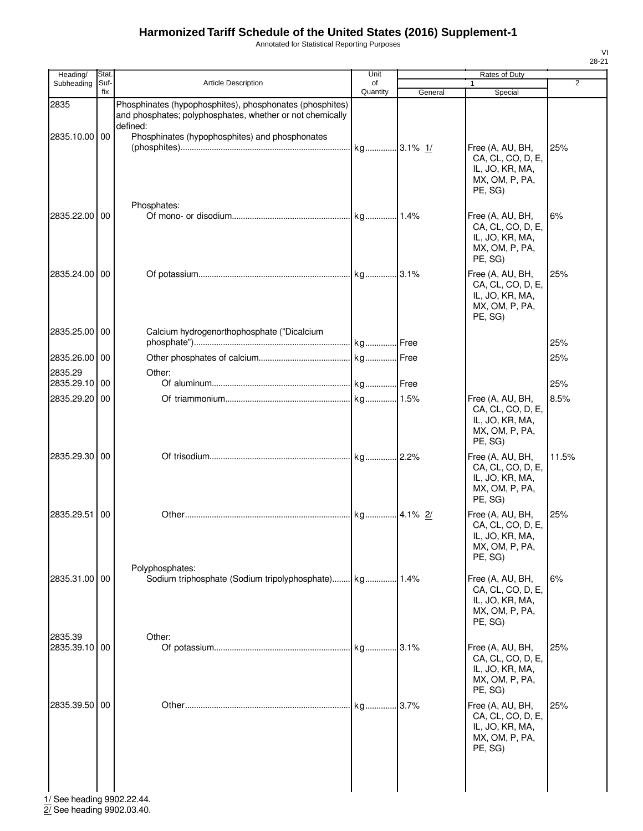Annotated for Statistical Reporting Purposes

| Heading/                 | Stat.           |                                                                                                                                   | Unit           |           | Rates of Duty                                                                         |                |
|--------------------------|-----------------|-----------------------------------------------------------------------------------------------------------------------------------|----------------|-----------|---------------------------------------------------------------------------------------|----------------|
| Subheading               | Suf-<br>fix     | <b>Article Description</b>                                                                                                        | of<br>Quantity | General   | 1<br>Special                                                                          | $\overline{2}$ |
| 2835                     |                 | Phosphinates (hypophosphites), phosphonates (phosphites)<br>and phosphates; polyphosphates, whether or not chemically<br>defined: |                |           |                                                                                       |                |
| 2835.10.00 00            |                 | Phosphinates (hypophosphites) and phosphonates                                                                                    | kg 3.1% 1/     |           | Free (A, AU, BH,<br>CA, CL, CO, D, E,<br>IL, JO, KR, MA,<br>MX, OM, P, PA,<br>PE, SG) | 25%            |
| 2835.22.00               | 00              | Phosphates:                                                                                                                       | kg 1.4%        |           | Free (A, AU, BH,<br>CA, CL, CO, D, E,<br>IL, JO, KR, MA,<br>MX, OM, P, PA,<br>PE, SG) | 6%             |
| 2835.24.00               | 00              |                                                                                                                                   |                |           | Free (A, AU, BH,<br>CA, CL, CO, D, E,<br>IL, JO, KR, MA,<br>MX, OM, P, PA,<br>PE, SG) | 25%            |
| 2835.25.00               | l 00            | Calcium hydrogenorthophosphate ("Dicalcium                                                                                        |                |           |                                                                                       | 25%            |
| 2835.26.00               | 00              |                                                                                                                                   | . kg Free      |           |                                                                                       | 25%            |
| 2835.29<br>2835.29.10    | $\overline{00}$ | Other:                                                                                                                            |                |           |                                                                                       | 25%            |
| 2835.29.20               | 00              |                                                                                                                                   |                |           | Free (A, AU, BH,<br>CA, CL, CO, D, E,<br>IL, JO, KR, MA,<br>MX, OM, P, PA,<br>PE, SG) | 8.5%           |
| 2835.29.30               | 00              |                                                                                                                                   |                |           | Free (A, AU, BH,<br>CA, CL, CO, D, E,<br>IL, JO, KR, MA,<br>MX, OM, P, PA,<br>PE, SG) | 11.5%          |
| 2835.29.51               | 00              |                                                                                                                                   | kg 4.1% 2/     |           | Free (A, AU, BH,<br>CA, CL, CO, D, E,<br>IL, JO, KR, MA,<br>MX, OM, P, PA,<br>PE. SG) | 25%            |
| 2835.31.00 00            |                 | Polyphosphates:                                                                                                                   |                |           | Free (A, AU, BH,<br>CA, CL, CO, D, E,<br>IL, JO, KR, MA,<br>MX, OM, P, PA,<br>PE, SG) | 6%             |
| 2835.39<br>2835.39.10 00 |                 | Other:                                                                                                                            | kg             | 3.1%      | Free (A, AU, BH,<br>CA, CL, CO, D, E,<br>IL, JO, KR, MA,<br>MX, OM, P, PA,<br>PE, SG) | 25%            |
| 2835.39.50 00            |                 |                                                                                                                                   |                | $.13.7\%$ | Free (A, AU, BH,<br>CA, CL, CO, D, E,<br>IL, JO, KR, MA,<br>MX, OM, P, PA,<br>PE, SG) | 25%            |

1/ See heading 9902.22.44. 2/ See heading 9902.03.40.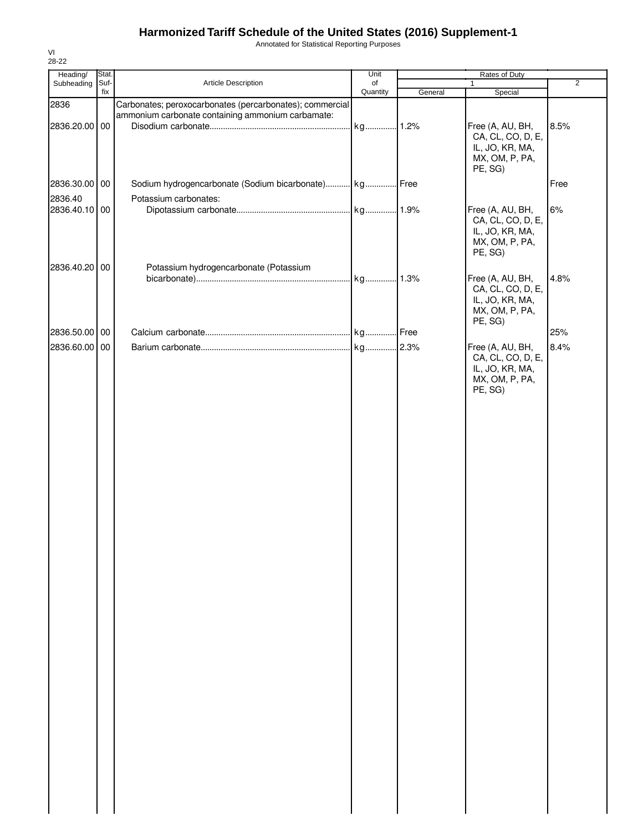Annotated for Statistical Reporting Purposes

| Heading/      | Stat. |                                                          | Unit     |         | Rates of Duty     |                |
|---------------|-------|----------------------------------------------------------|----------|---------|-------------------|----------------|
| Subheading    | Suf-  | Article Description                                      | of       |         | $\mathbf{1}$      | $\overline{2}$ |
|               | fix   |                                                          | Quantity | General | Special           |                |
| 2836          |       | Carbonates; peroxocarbonates (percarbonates); commercial |          |         |                   |                |
|               |       | ammonium carbonate containing ammonium carbamate:        |          |         |                   |                |
| 2836.20.00 00 |       |                                                          | kg 1.2%  |         | Free (A, AU, BH,  | 8.5%           |
|               |       |                                                          |          |         | CA, CL, CO, D, E, |                |
|               |       |                                                          |          |         | IL, JO, KR, MA,   |                |
|               |       |                                                          |          |         | MX, OM, P, PA,    |                |
|               |       |                                                          |          |         | PE, SG)           |                |
| 2836.30.00 00 |       | Sodium hydrogencarbonate (Sodium bicarbonate) kg Free    |          |         |                   | Free           |
|               |       |                                                          |          |         |                   |                |
| 2836.40       |       | Potassium carbonates:                                    |          |         |                   |                |
| 2836.40.10 00 |       |                                                          |          |         | Free (A, AU, BH,  | 6%             |
|               |       |                                                          |          |         | CA, CL, CO, D, E, |                |
|               |       |                                                          |          |         | IL, JO, KR, MA,   |                |
|               |       |                                                          |          |         | MX, OM, P, PA,    |                |
|               |       |                                                          |          |         | PE, SG)           |                |
| 2836.40.20 00 |       | Potassium hydrogencarbonate (Potassium                   |          |         |                   |                |
|               |       |                                                          |          |         | Free (A, AU, BH,  | 4.8%           |
|               |       |                                                          |          |         | CA, CL, CO, D, E, |                |
|               |       |                                                          |          |         | IL, JO, KR, MA,   |                |
|               |       |                                                          |          |         | MX, OM, P, PA,    |                |
|               |       |                                                          |          |         |                   |                |
|               |       |                                                          |          |         | PE, SG)           |                |
| 2836.50.00 00 |       |                                                          |          |         |                   | 25%            |
| 2836.60.00 00 |       |                                                          |          |         | Free (A, AU, BH,  | 8.4%           |
|               |       |                                                          |          |         | CA, CL, CO, D, E, |                |
|               |       |                                                          |          |         | IL, JO, KR, MA,   |                |
|               |       |                                                          |          |         | MX, OM, P, PA,    |                |
|               |       |                                                          |          |         | PE, SG)           |                |
|               |       |                                                          |          |         |                   |                |
|               |       |                                                          |          |         |                   |                |
|               |       |                                                          |          |         |                   |                |
|               |       |                                                          |          |         |                   |                |
|               |       |                                                          |          |         |                   |                |
|               |       |                                                          |          |         |                   |                |
|               |       |                                                          |          |         |                   |                |
|               |       |                                                          |          |         |                   |                |
|               |       |                                                          |          |         |                   |                |
|               |       |                                                          |          |         |                   |                |
|               |       |                                                          |          |         |                   |                |
|               |       |                                                          |          |         |                   |                |
|               |       |                                                          |          |         |                   |                |
|               |       |                                                          |          |         |                   |                |
|               |       |                                                          |          |         |                   |                |
|               |       |                                                          |          |         |                   |                |
|               |       |                                                          |          |         |                   |                |
|               |       |                                                          |          |         |                   |                |
|               |       |                                                          |          |         |                   |                |
|               |       |                                                          |          |         |                   |                |
|               |       |                                                          |          |         |                   |                |
|               |       |                                                          |          |         |                   |                |
|               |       |                                                          |          |         |                   |                |
|               |       |                                                          |          |         |                   |                |
|               |       |                                                          |          |         |                   |                |
|               |       |                                                          |          |         |                   |                |
|               |       |                                                          |          |         |                   |                |
|               |       |                                                          |          |         |                   |                |
|               |       |                                                          |          |         |                   |                |
|               |       |                                                          |          |         |                   |                |
|               |       |                                                          |          |         |                   |                |
|               |       |                                                          |          |         |                   |                |
|               |       |                                                          |          |         |                   |                |
|               |       |                                                          |          |         |                   |                |
|               |       |                                                          |          |         |                   |                |
|               |       |                                                          |          |         |                   |                |
|               |       |                                                          |          |         |                   |                |
|               |       |                                                          |          |         |                   |                |
|               |       |                                                          |          |         |                   |                |
|               |       |                                                          |          |         |                   |                |
|               |       |                                                          |          |         |                   |                |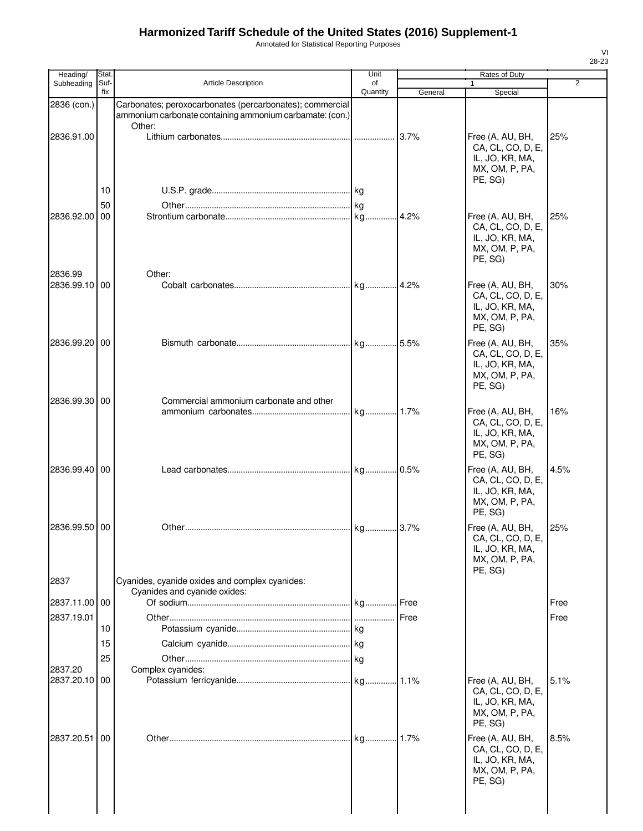Annotated for Statistical Reporting Purposes

| Heading/              | Stat.       |                                                                                | Unit           |         | Rates of Duty                                                                         |      |
|-----------------------|-------------|--------------------------------------------------------------------------------|----------------|---------|---------------------------------------------------------------------------------------|------|
| Subheading            | Suf-<br>fix | <b>Article Description</b>                                                     | of<br>Quantity | General | $\mathbf{1}$<br>Special                                                               | 2    |
| 2836 (con.)           |             | Carbonates; peroxocarbonates (percarbonates); commercial                       |                |         |                                                                                       |      |
|                       |             | ammonium carbonate containing ammonium carbamate: (con.)                       |                |         |                                                                                       |      |
| 2836.91.00            |             | Other:                                                                         |                | 3.7%    | Free (A, AU, BH,<br>CA, CL, CO, D, E,<br>IL, JO, KR, MA,<br>MX, OM, P, PA,            | 25%  |
|                       |             |                                                                                |                |         | PE, SG)                                                                               |      |
|                       | 10          |                                                                                |                |         |                                                                                       |      |
| 2836.92.00            | 50<br>00    |                                                                                |                | 4.2%    | Free (A, AU, BH,                                                                      | 25%  |
|                       |             |                                                                                |                |         | CA, CL, CO, D, E,<br>IL, JO, KR, MA,<br>MX, OM, P, PA,<br>PE, SG)                     |      |
| 2836.99<br>2836.99.10 | 00          | Other:                                                                         |                |         |                                                                                       |      |
|                       |             |                                                                                |                |         | Free (A, AU, BH,<br>CA, CL, CO, D, E,<br>IL, JO, KR, MA,<br>MX, OM, P, PA,<br>PE, SG) | 30%  |
| 2836.99.20 00         |             |                                                                                |                |         | Free (A, AU, BH,<br>CA, CL, CO, D, E,<br>IL, JO, KR, MA,<br>MX, OM, P, PA,<br>PE, SG) | 35%  |
| 2836.99.30 00         |             | Commercial ammonium carbonate and other                                        |                |         |                                                                                       |      |
|                       |             |                                                                                |                |         | Free (A, AU, BH,<br>CA, CL, CO, D, E,<br>IL, JO, KR, MA,<br>MX, OM, P, PA,<br>PE, SG) | 16%  |
| 2836.99.40 00         |             |                                                                                |                |         | Free (A, AU, BH,<br>CA, CL, CO, D, E,<br>IL, JO, KR, MA,<br>MX, OM, P, PA,<br>PE, SG) | 4.5% |
| 2836.99.50 00         |             |                                                                                |                |         | Free (A, AU, BH,                                                                      | 25%  |
|                       |             |                                                                                |                |         | CA, CL, CO, D, E,<br>IL, JO, KR, MA,<br>MX, OM, P, PA,<br>PE, SG)                     |      |
| 2837                  |             | Cyanides, cyanide oxides and complex cyanides:<br>Cyanides and cyanide oxides: |                |         |                                                                                       |      |
| 2837.11.00            | 00          |                                                                                |                | Free    |                                                                                       | Free |
| 2837.19.01            |             |                                                                                |                |         |                                                                                       | Free |
|                       | 10          |                                                                                |                |         |                                                                                       |      |
|                       | 15          |                                                                                |                |         |                                                                                       |      |
|                       | 25          |                                                                                |                |         |                                                                                       |      |
| 2837.20<br>2837.20.10 | 00          | Complex cyanides:                                                              |                |         | Free (A, AU, BH,                                                                      | 5.1% |
|                       |             |                                                                                |                |         | CA, CL, CO, D, E,<br>IL, JO, KR, MA,<br>MX, OM, P, PA,<br>PE, SG)                     |      |
| 2837.20.51            | 00          |                                                                                |                |         | Free (A, AU, BH,<br>CA, CL, CO, D, E,<br>IL, JO, KR, MA,<br>MX, OM, P, PA,<br>PE, SG) | 8.5% |
|                       |             |                                                                                |                |         |                                                                                       |      |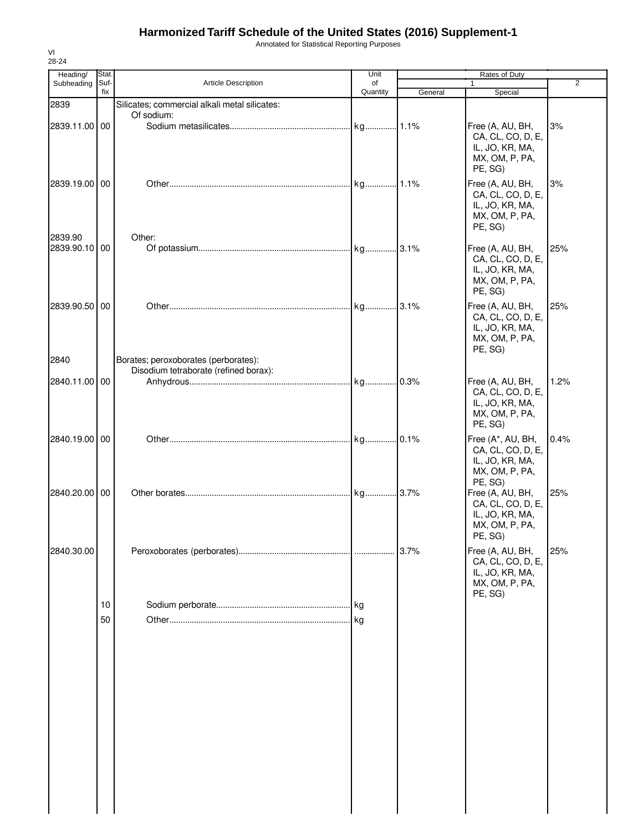Annotated for Statistical Reporting Purposes

| Heading/                 | Stat.<br>Suf- | Article Description                           | Unit<br>of |         | Rates of Duty<br>1                                                                     | $\overline{2}$ |
|--------------------------|---------------|-----------------------------------------------|------------|---------|----------------------------------------------------------------------------------------|----------------|
| Subheading               | fix           |                                               | Quantity   | General | Special                                                                                |                |
| 2839                     |               | Silicates; commercial alkali metal silicates: |            |         |                                                                                        |                |
| 2839.11.00 00            |               | Of sodium:                                    |            |         | Free (A, AU, BH,<br>CA, CL, CO, D, E,<br>IL, JO, KR, MA,<br>MX, OM, P, PA,<br>PE, SG)  | 3%             |
| 2839.19.00 00            |               |                                               |            |         | Free (A, AU, BH,<br>CA, CL, CO, D, E,<br>IL, JO, KR, MA,<br>MX, OM, P, PA,<br>PE, SG)  | 3%             |
| 2839.90<br>2839.90.10 00 |               | Other:                                        |            |         | Free (A, AU, BH,<br>CA, CL, CO, D, E,<br>IL, JO, KR, MA,<br>MX, OM, P, PA,<br>PE, SG)  | 25%            |
| 2839.90.50 00<br>2840    |               | Borates; peroxoborates (perborates):          |            |         | Free (A, AU, BH,<br>CA, CL, CO, D, E,<br>IL, JO, KR, MA,<br>MX, OM, P, PA,<br>PE, SG)  | 25%            |
|                          |               | Disodium tetraborate (refined borax):         |            |         |                                                                                        |                |
| 2840.11.00 00            |               |                                               |            |         | Free (A, AU, BH,<br>CA, CL, CO, D, E,<br>IL, JO, KR, MA,<br>MX, OM, P, PA,<br>PE, SG)  | 1.2%           |
| 2840.19.00 00            |               |                                               |            |         | Free (A*, AU, BH,<br>CA, CL, CO, D, E,<br>IL, JO, KR, MA,<br>MX, OM, P, PA,<br>PE, SG) | 0.4%           |
| 2840.20.00 00            |               |                                               |            |         | Free (A, AU, BH,<br>CA, CL, CO, D, E,<br>IL, JO, KR, MA,<br>MX, OM, P, PA,<br>PE, SG)  | 25%            |
| 2840.30.00               |               |                                               |            | 3.7%    | Free (A, AU, BH,<br>CA, CL, CO, D, E,<br>IL, JO, KR, MA,<br>MX, OM, P, PA,<br>PE, SG)  | 25%            |
|                          | 10            |                                               |            |         |                                                                                        |                |
|                          | 50            |                                               |            |         |                                                                                        |                |

VI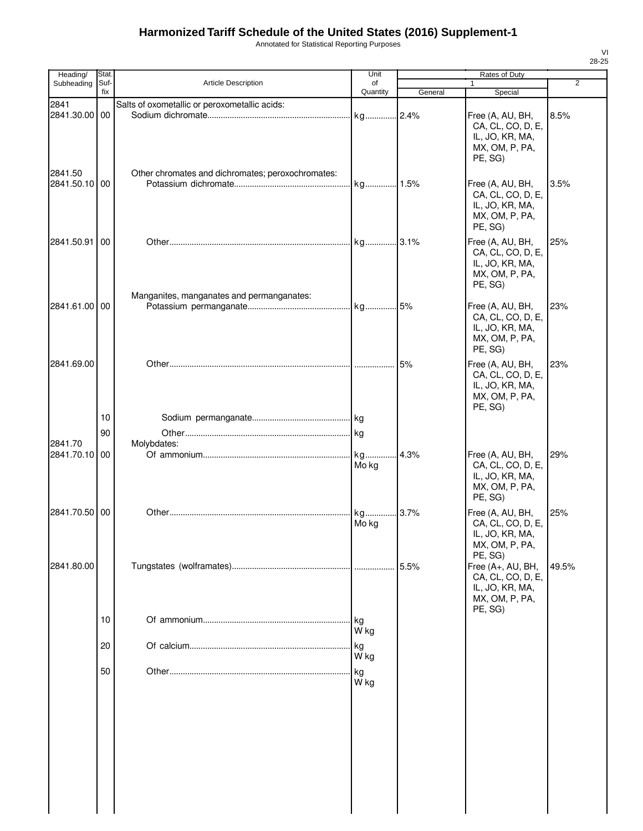Annotated for Statistical Reporting Purposes

| Heading/                 | Stat.       |                                                   | Unit           |         | Rates of Duty                                                                          |                |
|--------------------------|-------------|---------------------------------------------------|----------------|---------|----------------------------------------------------------------------------------------|----------------|
| Subheading               | Suf-<br>fix | Article Description                               | of<br>Quantity | General | Special                                                                                | $\overline{2}$ |
| 2841                     |             | Salts of oxometallic or peroxometallic acids:     |                |         |                                                                                        |                |
| 2841.30.00 00            |             |                                                   | kg             | .2.4%   | Free (A, AU, BH,<br>CA, CL, CO, D, E,<br>IL, JO, KR, MA,<br>MX, OM, P, PA,<br>PE, SG)  | 8.5%           |
| 2841.50                  |             | Other chromates and dichromates; peroxochromates: |                |         |                                                                                        |                |
| 2841.50.10 00            |             |                                                   | kg 1.5%        |         | Free (A, AU, BH,<br>CA, CL, CO, D, E,<br>IL, JO, KR, MA,<br>MX, OM, P, PA,<br>PE, SG)  | 3.5%           |
| 2841.50.91               | 00          |                                                   |                |         | Free (A, AU, BH,<br>CA, CL, CO, D, E,<br>IL, JO, KR, MA,<br>MX, OM, P, PA,<br>PE, SG)  | 25%            |
| 2841.61.00 00            |             | Manganites, manganates and permanganates:         |                |         | Free (A, AU, BH,                                                                       | 23%            |
|                          |             |                                                   |                |         | CA, CL, CO, D, E,<br>IL, JO, KR, MA,<br>MX, OM, P, PA,<br>PE, SG)                      |                |
| 2841.69.00               |             |                                                   |                | 5%      | Free (A, AU, BH,<br>CA, CL, CO, D, E,<br>IL, JO, KR, MA,<br>MX, OM, P, PA,<br>PE, SG)  | 23%            |
|                          | 10          |                                                   |                |         |                                                                                        |                |
|                          | 90          |                                                   |                |         |                                                                                        |                |
| 2841.70<br>2841.70.10 00 |             | Molybdates:                                       |                |         |                                                                                        |                |
|                          |             |                                                   | kg<br>Mo kg    | .4.3%   | Free (A, AU, BH,<br>CA, CL, CO, D, E,<br>IL, JO, KR, MA,<br>MX, OM, P, PA,<br>PE, SG)  | 29%            |
| 2841.70.50               | 00          |                                                   | kg<br>Mo kg    | 3.7%    | Free (A, AU, BH,<br>CA, CL, CO, D, E,<br>IL, JO, KR, MA,<br>MX, OM, P, PA,<br>PE, SG)  | 25%            |
| 2841.80.00               |             |                                                   |                | 5.5%    | Free (A+, AU, BH,<br>CA, CL, CO, D, E,<br>IL, JO, KR, MA,<br>MX, OM, P, PA,<br>PE, SG) | 49.5%          |
|                          | 10          |                                                   | kg<br>W kg     |         |                                                                                        |                |
|                          | 20          |                                                   | kg<br>W kg     |         |                                                                                        |                |
|                          | 50          |                                                   | kg<br>W kg     |         |                                                                                        |                |
|                          |             |                                                   |                |         |                                                                                        |                |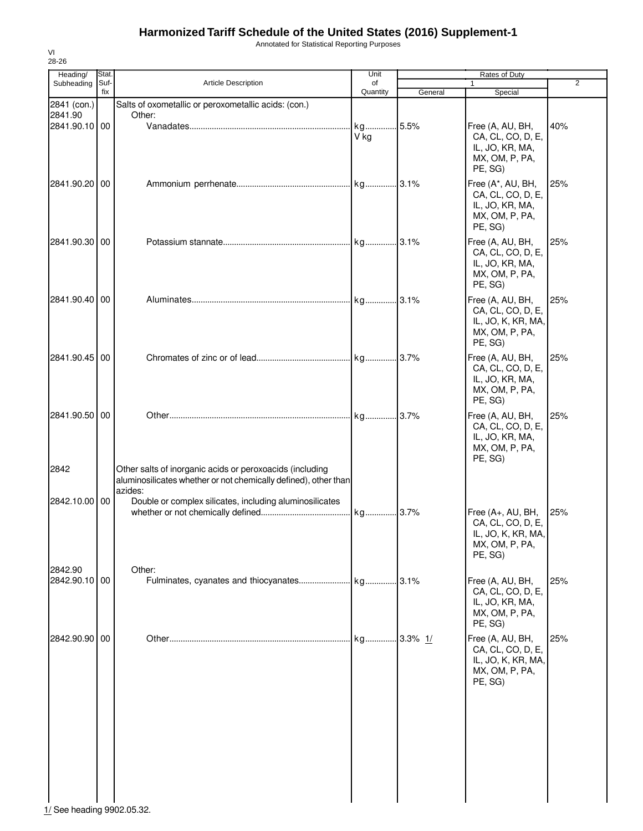Annotated for Statistical Reporting Purposes

| Heading/                   | Stat.       |                                                                                                                                        | Unit            |             | Rates of Duty                                                                             |                |
|----------------------------|-------------|----------------------------------------------------------------------------------------------------------------------------------------|-----------------|-------------|-------------------------------------------------------------------------------------------|----------------|
| Subheading                 | Suf-<br>fix | <b>Article Description</b>                                                                                                             | οf<br>Quantity  | General     | 1<br>Special                                                                              | $\overline{2}$ |
| 2841 (con.)                |             | Salts of oxometallic or peroxometallic acids: (con.)                                                                                   |                 |             |                                                                                           |                |
| 2841.90                    |             | Other:                                                                                                                                 |                 |             |                                                                                           |                |
| 2841.90.10 00              |             |                                                                                                                                        | kg 5.5%<br>V kg |             | Free (A, AU, BH,<br>CA, CL, CO, D, E,<br>IL, JO, KR, MA,<br>MX, OM, P, PA,<br>PE, SG)     | 40%            |
| 2841.90.20 00              |             |                                                                                                                                        |                 |             | Free (A*, AU, BH,<br>CA, CL, CO, D, E,<br>IL, JO, KR, MA,<br>MX, OM, P, PA,<br>PE, SG)    | 25%            |
| 2841.90.30 00              |             |                                                                                                                                        | kg 3.1%         |             | Free (A, AU, BH,<br>CA, CL, CO, D, E,<br>IL, JO, KR, MA,<br>MX, OM, P, PA,<br>PE, SG)     | 25%            |
| 2841.90.40 00              |             |                                                                                                                                        |                 |             | Free (A, AU, BH,<br>CA, CL, CO, D, E,<br>IL, JO, K, KR, MA,<br>MX, OM, P, PA,<br>PE, SG)  | 25%            |
| 2841.90.45 00              |             |                                                                                                                                        |                 |             | Free (A, AU, BH,<br>CA, CL, CO, D, E,<br>IL, JO, KR, MA,<br>MX, OM, P, PA,<br>PE, SG)     | 25%            |
| 2841.90.50 00              |             |                                                                                                                                        |                 |             | Free (A, AU, BH,<br>CA, CL, CO, D, E,<br>IL, JO, KR, MA,<br>MX, OM, P, PA,<br>PE, SG)     | 25%            |
| 2842                       |             | Other salts of inorganic acids or peroxoacids (including<br>aluminosilicates whether or not chemically defined), other than<br>azides: |                 |             |                                                                                           |                |
| 2842.10.00 00              |             | Double or complex silicates, including aluminosilicates                                                                                |                 |             |                                                                                           |                |
|                            |             |                                                                                                                                        | kg 3.7%         |             | Free (A+, AU, BH,<br>CA, CL, CO, D, E,<br>IL, JO, K, KR, MA,<br>MX, OM, P, PA,<br>PE, SG) | 25%            |
| 2842.90<br>2842.90.10 00   |             | Other:                                                                                                                                 |                 |             | Free (A, AU, BH,<br>CA, CL, CO, D, E,<br>IL, JO, KR, MA,<br>MX, OM, P, PA,<br>PE, SG)     | 25%            |
| 2842.90.90 00              |             |                                                                                                                                        | kg              | $.3.3\%$ 1/ | Free (A, AU, BH,<br>CA, CL, CO, D, E,<br>IL, JO, K, KR, MA,<br>MX, OM, P, PA,<br>PE, SG)  | 25%            |
|                            |             |                                                                                                                                        |                 |             |                                                                                           |                |
| 1/ See heading 9902.05.32. |             |                                                                                                                                        |                 |             |                                                                                           |                |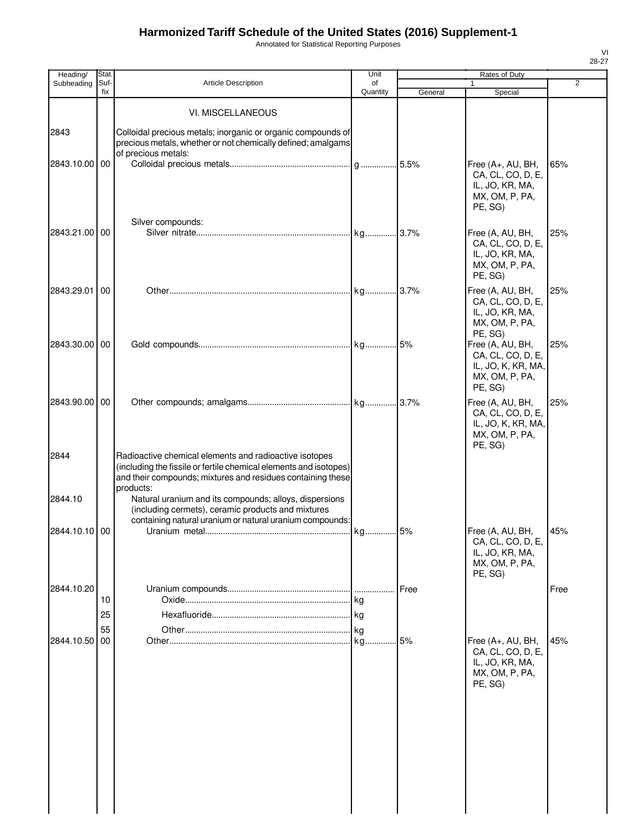Annotated for Statistical Reporting Purposes

| Heading/              | Stat.          |                                                                                                                                                                                                         | Unit           |         | Rates of Duty                                                                            | $\overline{2}$ |
|-----------------------|----------------|---------------------------------------------------------------------------------------------------------------------------------------------------------------------------------------------------------|----------------|---------|------------------------------------------------------------------------------------------|----------------|
| Subheading            | Suf-<br>fix    | Article Description                                                                                                                                                                                     | of<br>Quantity | General | 1<br>Special                                                                             |                |
|                       |                | VI. MISCELLANEOUS                                                                                                                                                                                       |                |         |                                                                                          |                |
| 2843<br>2843.10.00 00 |                | Colloidal precious metals; inorganic or organic compounds of<br>precious metals, whether or not chemically defined; amalgams<br>of precious metals:                                                     |                |         | Free (A+, AU, BH,                                                                        | 65%            |
|                       |                |                                                                                                                                                                                                         |                |         | CA, CL, CO, D, E,<br>IL, JO, KR, MA,<br>MX, OM, P, PA,<br>PE, SG)                        |                |
| 2843.21.00 00         |                | Silver compounds:                                                                                                                                                                                       |                |         | Free (A, AU, BH,<br>CA, CL, CO, D, E,<br>IL, JO, KR, MA,<br>MX, OM, P, PA,<br>PE, SG)    | 25%            |
| 2843.29.01            | 00             |                                                                                                                                                                                                         |                |         | Free (A, AU, BH,<br>CA, CL, CO, D, E,<br>IL, JO, KR, MA,<br>MX, OM, P, PA,<br>PE, SG)    | 25%            |
| 2843.30.00 00         |                |                                                                                                                                                                                                         |                |         | Free (A, AU, BH,<br>CA, CL, CO, D, E,<br>IL, JO, K, KR, MA,<br>MX, OM, P, PA,<br>PE, SG) | 25%            |
| 2843.90.00 00         |                |                                                                                                                                                                                                         |                |         | Free (A, AU, BH,<br>CA, CL, CO, D, E,<br>IL, JO, K, KR, MA,<br>MX, OM, P, PA,<br>PE, SG) | 25%            |
| 2844                  |                | Radioactive chemical elements and radioactive isotopes<br>(including the fissile or fertile chemical elements and isotopes)<br>and their compounds; mixtures and residues containing these<br>products: |                |         |                                                                                          |                |
| 2844.10               |                | Natural uranium and its compounds; alloys, dispersions<br>(including cermets), ceramic products and mixtures<br>containing natural uranium or natural uranium compounds:                                |                |         |                                                                                          |                |
| 2844.10.10 00         |                |                                                                                                                                                                                                         | kg 5%          |         | Free (A, AU, BH,<br>CA, CL, CO, D, E,<br>IL, JO, KR, MA,<br>MX, OM, P, PA,<br>PE, SG)    | 45%            |
| 2844.10.20            | 10<br>25<br>55 |                                                                                                                                                                                                         | ka<br>kg       | Free    |                                                                                          | Free           |
| 2844.10.50            | 00             |                                                                                                                                                                                                         | kg 5%          |         | Free (A+, AU, BH,<br>CA, CL, CO, D, E,<br>IL, JO, KR, MA,<br>MX, OM, P, PA,<br>PE, SG)   | 45%            |
|                       |                |                                                                                                                                                                                                         |                |         |                                                                                          |                |
|                       |                |                                                                                                                                                                                                         |                |         |                                                                                          |                |
|                       |                |                                                                                                                                                                                                         |                |         |                                                                                          |                |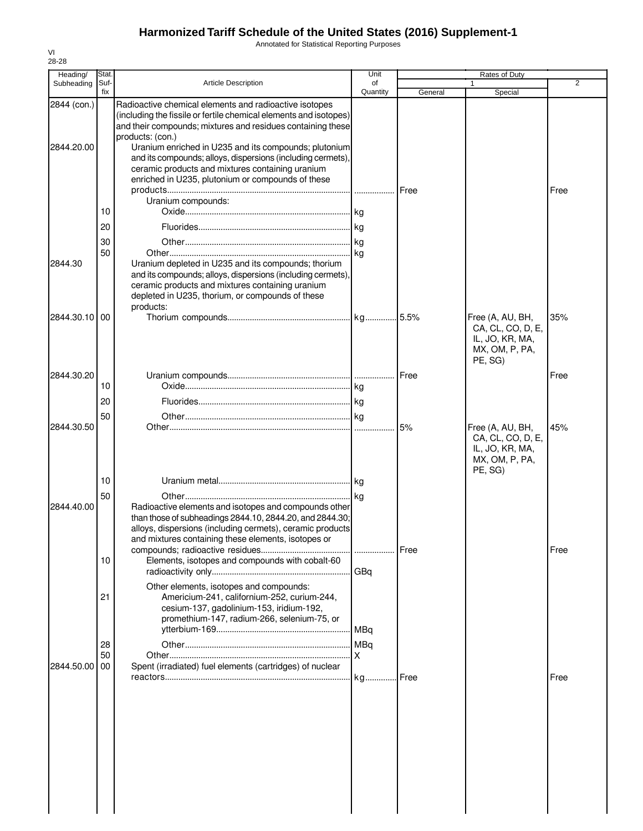Annotated for Statistical Reporting Purposes

| Heading/                  | Stat.          |                                                                                                                                                                                                                                                                                                                                                                                                                                                                       | Unit           | Rates of Duty |                                                                                       |      |
|---------------------------|----------------|-----------------------------------------------------------------------------------------------------------------------------------------------------------------------------------------------------------------------------------------------------------------------------------------------------------------------------------------------------------------------------------------------------------------------------------------------------------------------|----------------|---------------|---------------------------------------------------------------------------------------|------|
| Subheading                | Suf-<br>fix    | <b>Article Description</b>                                                                                                                                                                                                                                                                                                                                                                                                                                            | of<br>Quantity | General       | 1<br>Special                                                                          | 2    |
| 2844 (con.)<br>2844.20.00 | 10<br>20<br>30 | Radioactive chemical elements and radioactive isotopes<br>(including the fissile or fertile chemical elements and isotopes)<br>and their compounds; mixtures and residues containing these<br>products: (con.)<br>Uranium enriched in U235 and its compounds; plutonium<br>and its compounds; alloys, dispersions (including cermets),<br>ceramic products and mixtures containing uranium<br>enriched in U235, plutonium or compounds of these<br>Uranium compounds: |                | Free          |                                                                                       | Free |
| 2844.30                   | 50             | Uranium depleted in U235 and its compounds; thorium<br>and its compounds; alloys, dispersions (including cermets),<br>ceramic products and mixtures containing uranium<br>depleted in U235, thorium, or compounds of these<br>products:                                                                                                                                                                                                                               |                |               |                                                                                       |      |
| 2844.30.10                | 00             |                                                                                                                                                                                                                                                                                                                                                                                                                                                                       |                |               | Free (A, AU, BH,<br>CA, CL, CO, D, E,<br>IL, JO, KR, MA,<br>MX, OM, P, PA,<br>PE, SG) | 35%  |
| 2844.30.20                | 10<br>20       |                                                                                                                                                                                                                                                                                                                                                                                                                                                                       |                | Free          |                                                                                       | Free |
| 2844.30.50                | 50             |                                                                                                                                                                                                                                                                                                                                                                                                                                                                       |                | 5%            | Free (A, AU, BH,<br>CA, CL, CO, D, E,<br>IL, JO, KR, MA,<br>MX, OM, P, PA,<br>PE, SG) | 45%  |
| 2844.40.00                | 10<br>50       | Radioactive elements and isotopes and compounds other<br>than those of subheadings 2844.10, 2844.20, and 2844.30;<br>alloys, dispersions (including cermets), ceramic products<br>and mixtures containing these elements, isotopes or                                                                                                                                                                                                                                 |                |               |                                                                                       |      |
|                           | 10<br>21<br>28 | Elements, isotopes and compounds with cobalt-60<br>Other elements, isotopes and compounds:<br>Americium-241, californium-252, curium-244,<br>cesium-137, gadolinium-153, iridium-192,<br>promethium-147, radium-266, selenium-75, or                                                                                                                                                                                                                                  | GBq            | Free          |                                                                                       | Free |
| 2844.50.00                | 50<br>00       | Spent (irradiated) fuel elements (cartridges) of nuclear                                                                                                                                                                                                                                                                                                                                                                                                              |                |               |                                                                                       | Free |
|                           |                |                                                                                                                                                                                                                                                                                                                                                                                                                                                                       |                |               |                                                                                       |      |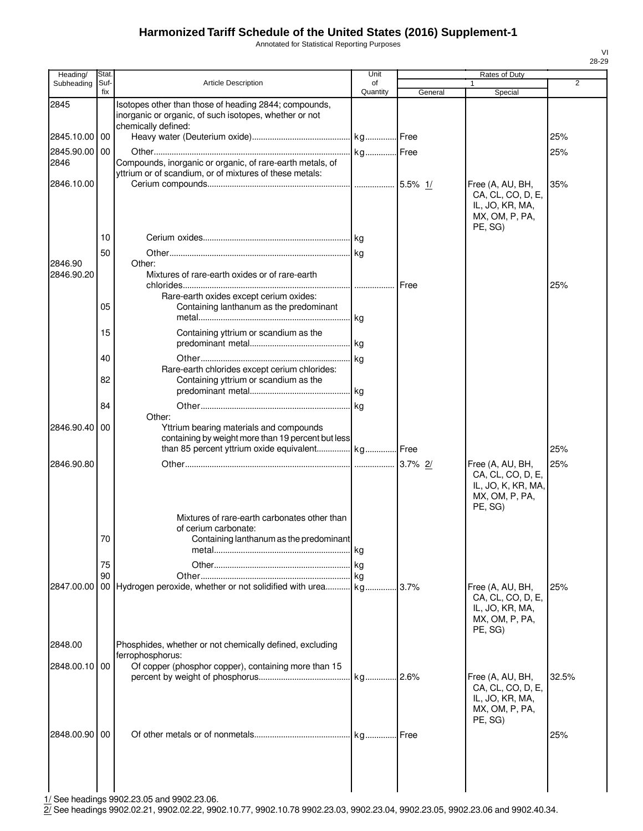Annotated for Statistical Reporting Purposes

| Heading/      | Stat.       |                                                                                                                 | Unit           |         | Rates of Duty                                                                            |                |
|---------------|-------------|-----------------------------------------------------------------------------------------------------------------|----------------|---------|------------------------------------------------------------------------------------------|----------------|
| Subheading    | Suf-<br>fix | <b>Article Description</b>                                                                                      | of<br>Quantity | General | 1<br>Special                                                                             | $\overline{2}$ |
| 2845          |             | Isotopes other than those of heading 2844; compounds,<br>inorganic or organic, of such isotopes, whether or not |                |         |                                                                                          |                |
| 2845.10.00    | 00          | chemically defined:                                                                                             |                |         |                                                                                          | 25%            |
| 2845.90.00    | 00          |                                                                                                                 |                |         |                                                                                          | 25%            |
| 2846          |             | Compounds, inorganic or organic, of rare-earth metals, of                                                       |                |         |                                                                                          |                |
|               |             | yttrium or of scandium, or of mixtures of these metals:                                                         |                |         |                                                                                          |                |
| 2846.10.00    |             |                                                                                                                 |                |         | Free (A, AU, BH,                                                                         | 35%            |
|               | 10<br>50    |                                                                                                                 |                |         | CA, CL, CO, D, E,<br>IL, JO, KR, MA,<br>MX, OM, P, PA,<br>PE, SG)                        |                |
| 2846.90       |             | Other:                                                                                                          |                |         |                                                                                          |                |
| 2846.90.20    |             | Mixtures of rare-earth oxides or of rare-earth                                                                  |                |         |                                                                                          | 25%            |
|               |             | Rare-earth oxides except cerium oxides:                                                                         |                |         |                                                                                          |                |
|               | 05          | Containing lanthanum as the predominant                                                                         |                |         |                                                                                          |                |
|               | 15          |                                                                                                                 |                |         |                                                                                          |                |
|               |             | Containing yttrium or scandium as the                                                                           |                |         |                                                                                          |                |
|               | 40          |                                                                                                                 |                |         |                                                                                          |                |
|               |             | Rare-earth chlorides except cerium chlorides:                                                                   |                |         |                                                                                          |                |
|               | 82          | Containing yttrium or scandium as the                                                                           |                |         |                                                                                          |                |
|               | 84          |                                                                                                                 |                |         |                                                                                          |                |
|               |             | Other:                                                                                                          |                |         |                                                                                          |                |
| 2846.90.40    | 00          | Yttrium bearing materials and compounds                                                                         |                |         |                                                                                          |                |
|               |             | containing by weight more than 19 percent but less<br>than 85 percent yttrium oxide equivalent kg Free          |                |         |                                                                                          | 25%            |
|               |             |                                                                                                                 |                |         |                                                                                          |                |
| 2846.90.80    |             |                                                                                                                 |                |         | Free (A, AU, BH,<br>CA, CL, CO, D, E,<br>IL, JO, K, KR, MA,<br>MX, OM, P, PA,<br>PE, SG) | 25%            |
|               | 70          | Mixtures of rare-earth carbonates other than<br>of cerium carbonate:<br>Containing lanthanum as the predominant |                |         |                                                                                          |                |
|               | 75          |                                                                                                                 |                |         |                                                                                          |                |
|               | 90          |                                                                                                                 |                |         |                                                                                          |                |
| 2847.00.00    |             | 00 Hydrogen peroxide, whether or not solidified with urea kg 3.7%                                               |                |         | Free (A, AU, BH,<br>CA, CL, CO, D, E,<br>IL, JO, KR, MA,<br>MX, OM, P, PA,<br>PE, SG)    | 25%            |
| 2848.00       |             | Phosphides, whether or not chemically defined, excluding<br>ferrophosphorus:                                    |                |         |                                                                                          |                |
| 2848.00.10 00 |             | Of copper (phosphor copper), containing more than 15                                                            |                |         |                                                                                          |                |
|               |             |                                                                                                                 |                |         | Free (A, AU, BH,<br>CA, CL, CO, D, E,<br>IL, JO, KR, MA,<br>MX, OM, P, PA,<br>PE, SG)    | 32.5%          |
| 2848.00.90 00 |             |                                                                                                                 |                |         |                                                                                          | 25%            |
|               |             |                                                                                                                 |                |         |                                                                                          |                |
|               |             |                                                                                                                 |                |         |                                                                                          |                |
|               |             |                                                                                                                 |                |         |                                                                                          |                |

1/ See headings 9902.23.05 and 9902.23.06.

2/ See headings 9902.02.21, 9902.02.22, 9902.10.77, 9902.10.78 9902.23.03, 9902.23.04, 9902.23.05, 9902.23.06 and 9902.40.34.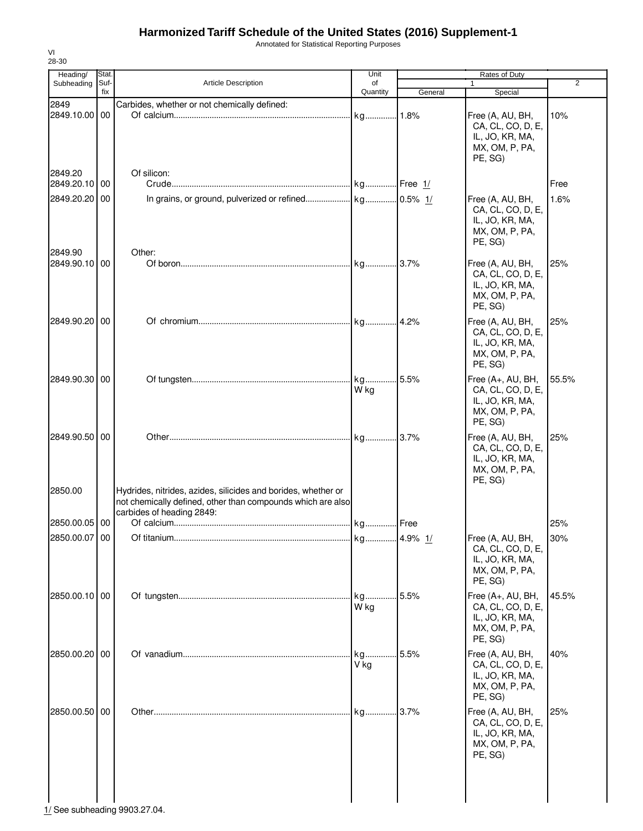Annotated for Statistical Reporting Purposes

| Heading/                 | Stat.       |                                                                                          | Unit           |           | Rates of Duty                                                                          |                |
|--------------------------|-------------|------------------------------------------------------------------------------------------|----------------|-----------|----------------------------------------------------------------------------------------|----------------|
| Subheading               | Suf-<br>fix | <b>Article Description</b>                                                               | of<br>Quantity | General   |                                                                                        | $\overline{2}$ |
| 2849                     |             | Carbides, whether or not chemically defined:                                             |                |           | Special                                                                                |                |
| 2849.10.00 00            |             |                                                                                          | kg             | .1.8%     | Free (A, AU, BH,<br>CA, CL, CO, D, E,<br>IL, JO, KR, MA,<br>MX, OM, P, PA,<br>PE, SG)  | 10%            |
| 2849.20<br>2849.20.10 00 |             | Of silicon:                                                                              |                |           |                                                                                        | Free           |
| 2849.20.20 00            |             |                                                                                          |                |           | Free (A, AU, BH,<br>CA, CL, CO, D, E,<br>IL, JO, KR, MA,<br>MX, OM, P, PA,<br>PE, SG)  | 1.6%           |
| 2849.90<br>2849.90.10 00 |             | Other:                                                                                   |                |           | Free (A, AU, BH,<br>CA, CL, CO, D, E,<br>IL, JO, KR, MA,<br>MX, OM, P, PA,<br>PE, SG)  | 25%            |
| 2849.90.20 00            |             |                                                                                          | kg             | 4.2%      | Free (A, AU, BH,<br>CA, CL, CO, D, E,<br>IL, JO, KR, MA,<br>MX, OM, P, PA,<br>PE, SG)  | 25%            |
| 2849.90.30 00            |             |                                                                                          | kg<br>W kg     | .5.5%     | Free (A+, AU, BH,<br>CA, CL, CO, D, E,<br>IL, JO, KR, MA,<br>MX, OM, P, PA,<br>PE, SG) | 55.5%          |
| 2849.90.50 00<br>2850.00 |             | Hydrides, nitrides, azides, silicides and borides, whether or                            |                | .3.7%     | Free (A, AU, BH,<br>CA, CL, CO, D, E,<br>IL, JO, KR, MA,<br>MX, OM, P, PA,<br>PE, SG)  | 25%            |
|                          |             | not chemically defined, other than compounds which are also<br>carbides of heading 2849: |                |           |                                                                                        |                |
| 2850.00.05 00            |             |                                                                                          | kg             | Free      |                                                                                        | 25%            |
| 2850.00.07 00            |             |                                                                                          | kg             | 4.9% $1/$ | Free (A, AU, BH,<br>CA, CL, CO, D, E,<br>IL, JO, KR, MA,<br>MX, OM, P, PA,<br>PE, SG)  | 30%            |
| 2850.00.10 00            |             |                                                                                          | kg<br>W kg     | 5.5%      | Free (A+, AU, BH,<br>CA, CL, CO, D, E,<br>IL, JO, KR, MA,<br>MX, OM, P, PA,<br>PE, SG) | 45.5%          |
| 2850.00.20 00            |             |                                                                                          | kg<br>V kg     | 5.5%      | Free (A, AU, BH,<br>CA, CL, CO, D, E,<br>IL, JO, KR, MA,<br>MX, OM, P, PA,<br>PE, SG)  | 40%            |
| 2850.00.50 00            |             |                                                                                          | kg             | 3.7%      | Free (A, AU, BH,<br>CA, CL, CO, D, E,<br>IL, JO, KR, MA,<br>MX, OM, P, PA,<br>PE, SG)  | 25%            |

 $\frac{1}{1}$ See subheading 9903.27.04.